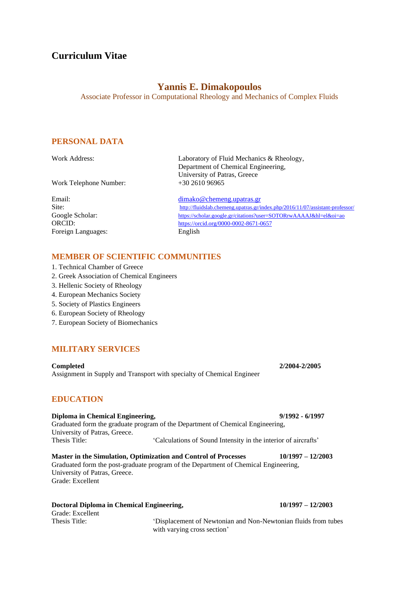# **Curriculum Vitae**

# **Yannis E. Dimakopoulos**

Associate Professor in Computational Rheology and Mechanics of Complex Fluids

## **PERSONAL DATA**

Work Telephone Number:

Foreign Languages: English

Work Address: [Laboratory](http://www.mate.tue.nl/mate/research/index.php/2/3) of Fluid Mechanics & Rheology, Department of Chemical Engineering, University of Patras, Greece<br>+30 2610 96965

Email: [dimako@chemeng.upatras.gr](mailto:dimako@chemeng.upatras.gr) Site: <http://fluidslab.chemeng.upatras.gr/index.php/2016/11/07/assistant-professor/> Google Scholar: <https://scholar.google.gr/citations?user=SOTORrwAAAAJ&hl=el&oi=ao> ORCID: <https://orcid.org/0000-0002-8671-0657>

## **MEMBER OF SCIENTIFIC COMMUNITIES**

- 1. Technical Chamber of Greece
- 2. Greek Association of Chemical Engineers
- 3. Hellenic Society of Rheology
- 4. European Mechanics Society
- 5. Society of Plastics Engineers
- 6. European Society of Rheology
- 7. European Society of Biomechanics

## **MILITARY SERVICES**

**Completed 2/2004-2/2005** Assignment in Supply and Transport with specialty of Chemical Engineer

## **EDUCATION**

**Diploma in Chemical Engineering, 9/1992 - 6/1997** Graduated form the graduate program of the Department of Chemical Engineering, University of Patras, Greece. Thesis Title: 'Calculations of Sound Intensity in the interior of aircrafts'

**Master in the Simulation, Optimization and Control of Processes 10/1997 – 12/2003** Graduated form the post-graduate program of the Department of Chemical Engineering, University of Patras, Greece. Grade: Excellent

| Doctoral Diploma in Chemical Engineering, |                             | $10/1997 - 12/2003$                                            |
|-------------------------------------------|-----------------------------|----------------------------------------------------------------|
| Grade: Excellent                          |                             |                                                                |
| Thesis Title:                             |                             | 'Displacement of Newtonian and Non-Newtonian fluids from tubes |
|                                           | with varying cross section' |                                                                |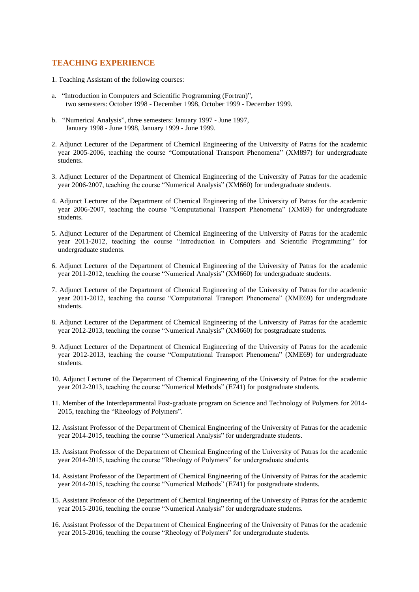## **TEACHING EXPERIENCE**

- 1. Teaching Assistant of the following courses:
- a. "Introduction in Computers and Scientific Programming (Fortran)", two semesters: October 1998 - December 1998, October 1999 - December 1999.
- b. "Numerical Analysis", three semesters: January 1997 June 1997, January 1998 - June 1998, January 1999 - June 1999.
- 2. Adjunct Lecturer of the Department of Chemical Engineering of the University of Patras for the academic year 2005-2006, teaching the course "Computational Transport Phenomena" (ΧΜ897) for undergraduate students.
- 3. Adjunct Lecturer of the Department of Chemical Engineering of the University of Patras for the academic year 2006-2007, teaching the course "Numerical Analysis" (ΧΜ660) for undergraduate students.
- 4. Adjunct Lecturer of the Department of Chemical Engineering of the University of Patras for the academic year 2006-2007, teaching the course "Computational Transport Phenomena" (ΧΜ69) for undergraduate students.
- 5. Adjunct Lecturer of the Department of Chemical Engineering of the University of Patras for the academic year 2011-2012, teaching the course "Introduction in Computers and Scientific Programming" for undergraduate students.
- 6. Adjunct Lecturer of the Department of Chemical Engineering of the University of Patras for the academic year 2011-2012, teaching the course "Numerical Analysis" (ΧΜ660) for undergraduate students.
- 7. Adjunct Lecturer of the Department of Chemical Engineering of the University of Patras for the academic year 2011-2012, teaching the course "Computational Transport Phenomena" (ΧΜE69) for undergraduate students.
- 8. Adjunct Lecturer of the Department of Chemical Engineering of the University of Patras for the academic year 2012-2013, teaching the course "Numerical Analysis" (ΧΜ660) for postgraduate students.
- 9. Adjunct Lecturer of the Department of Chemical Engineering of the University of Patras for the academic year 2012-2013, teaching the course "Computational Transport Phenomena" (ΧΜE69) for undergraduate students.
- 10. Adjunct Lecturer of the Department of Chemical Engineering of the University of Patras for the academic year 2012-2013, teaching the course "Numerical Methods" (Ε741) for postgraduate students.
- 11. Member of the Interdepartmental Post-graduate program on Science and Technology of Polymers for 2014- 2015, teaching the "Rheology of Polymers".
- 12. Assistant Professor of the Department of Chemical Engineering of the University of Patras for the academic year 2014-2015, teaching the course "Numerical Analysis" for undergraduate students.
- 13. Assistant Professor of the Department of Chemical Engineering of the University of Patras for the academic year 2014-2015, teaching the course "Rheology of Polymers" for undergraduate students.
- 14. Assistant Professor of the Department of Chemical Engineering of the University of Patras for the academic year 2014-2015, teaching the course "Numerical Methods" (Ε741) for postgraduate students.
- 15. Assistant Professor of the Department of Chemical Engineering of the University of Patras for the academic year 2015-2016, teaching the course "Numerical Analysis" for undergraduate students.
- 16. Assistant Professor of the Department of Chemical Engineering of the University of Patras for the academic year 2015-2016, teaching the course "Rheology of Polymers" for undergraduate students.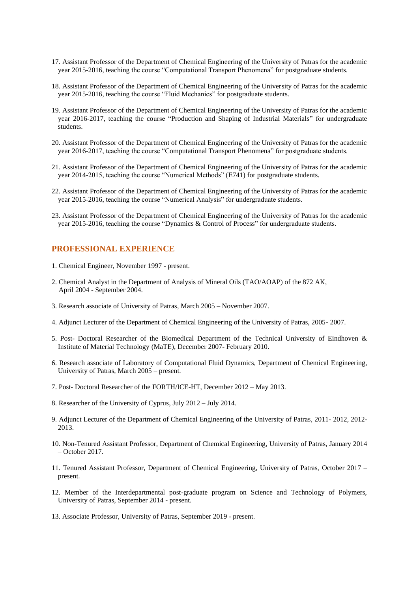- 17. Assistant Professor of the Department of Chemical Engineering of the University of Patras for the academic year 2015-2016, teaching the course "Computational Transport Phenomena" for postgraduate students.
- 18. Assistant Professor of the Department of Chemical Engineering of the University of Patras for the academic year 2015-2016, teaching the course "Fluid Mechanics" for postgraduate students.
- 19. Assistant Professor of the Department of Chemical Engineering of the University of Patras for the academic year 2016-2017, teaching the course "Production and Shaping of Industrial Materials" for undergraduate students.
- 20. Assistant Professor of the Department of Chemical Engineering of the University of Patras for the academic year 2016-2017, teaching the course "Computational Transport Phenomena" for postgraduate students.
- 21. Assistant Professor of the Department of Chemical Engineering of the University of Patras for the academic year 2014-2015, teaching the course "Numerical Methods" (Ε741) for postgraduate students.
- 22. Assistant Professor of the Department of Chemical Engineering of the University of Patras for the academic year 2015-2016, teaching the course "Numerical Analysis" for undergraduate students.
- 23. Assistant Professor of the Department of Chemical Engineering of the University of Patras for the academic year 2015-2016, teaching the course "Dynamics & Control of Process" for undergraduate students.

#### **PROFESSIONAL EXPERIENCE**

- 1. Chemical Engineer, November 1997 present.
- 2. Chemical Analyst in the Department of Analysis of Mineral Oils (TAO/AOAP) of the 872 AK, April 2004 - September 2004.
- 3. Research associate of University of Patras, March 2005 November 2007.
- 4. Adjunct Lecturer of the Department of Chemical Engineering of the University of Patras, 2005- 2007.
- 5. Post- Doctoral Researcher of the Biomedical Department of the Technical University of Eindhoven & Institute of Material Technology (MaTE), December 2007- February 2010.
- 6. Research associate of Laboratory of Computational Fluid Dynamics, Department of Chemical Engineering, University of Patras, March 2005 – present.
- 7. Post- Doctoral Researcher of the FORTH/ICE-HT, December 2012 May 2013.
- 8. Researcher of the University of Cyprus, July 2012 July 2014.
- 9. Adjunct Lecturer of the Department of Chemical Engineering of the University of Patras, 2011- 2012, 2012- 2013.
- 10. Non-Tenured Assistant Professor, Department of Chemical Engineering, University of Patras, January 2014 – October 2017.
- 11. Tenured Assistant Professor, Department of Chemical Engineering, University of Patras, October 2017 present.
- 12. Member of the Interdepartmental post-graduate program on Science and Technology of Polymers, University of Patras, September 2014 - present.
- 13. Associate Professor, University of Patras, September 2019 present.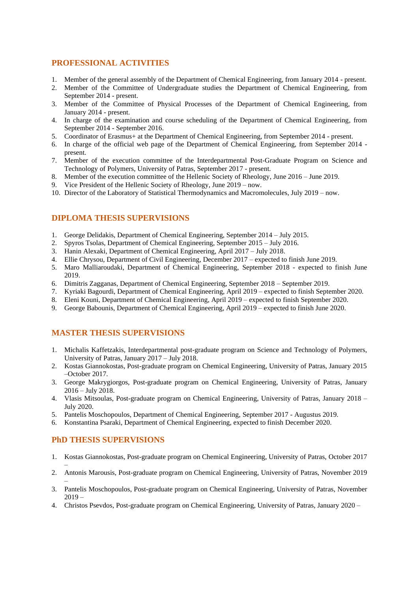## **PROFESSIONAL ACTIVITIES**

- 1. Member of the general assembly of the Department of Chemical Engineering, from January 2014 present.
- 2. Member of the Committee of Undergraduate studies the Department of Chemical Engineering, from September 2014 - present.
- 3. Member of the Committee of Physical Processes of the Department of Chemical Engineering, from January 2014 - present.
- 4. In charge of the examination and course scheduling of the Department of Chemical Engineering, from September 2014 - September 2016.
- 5. Coordinator of Erasmus+ at the Department of Chemical Engineering, from September 2014 present.
- 6. In charge of the official web page of the Department of Chemical Engineering, from September 2014 present.
- 7. Member of the execution committee of the Interdepartmental Post-Graduate Program on Science and Technology of Polymers, University of Patras, September 2017 - present.
- 8. Member of the execution committee of the Hellenic Society of Rheology, June 2016 June 2019.
- 9. Vice President of the Hellenic Society of Rheology, June 2019 now.
- 10. Director of the Laboratory of Statistical Thermodynamics and Macromolecules, July 2019 now.

## **DIPLOMA THESIS SUPERVISIONS**

- 1. George Delidakis, Department of Chemical Engineering, September 2014 July 2015.
- 2. Spyros Tsolas, Department of Chemical Engineering, September 2015 July 2016.
- 3. Hanin Alexaki, Department of Chemical Engineering, April 2017 July 2018.
- 4. Ellie Chrysou, Department of Civil Engineering, December 2017 expected to finish June 2019.
- 5. Maro Malliaroudaki, Department of Chemical Engineering, September 2018 expected to finish June 2019.
- 6. Dimitris Zagganas, Department of Chemical Engineering, September 2018 September 2019.
- 7. Kyriaki Bagourdi, Department of Chemical Engineering, April 2019 expected to finish September 2020.
- 8. Eleni Kouni, Department of Chemical Engineering, April 2019 expected to finish September 2020.
- 9. George Babounis, Department of Chemical Engineering, April 2019 expected to finish June 2020.

## **MASTER THESIS SUPERVISIONS**

- 1. Michalis Kaffetzakis, Interdepartmental post-graduate program on Science and Technology of Polymers, University of Patras, January 2017 – July 2018.
- 2. Kostas Giannokostas, Post-graduate program on Chemical Engineering, University of Patras, January 2015 –October 2017.
- 3. George Makrygiorgos, Post-graduate program on Chemical Engineering, University of Patras, January 2016 – July 2018.
- 4. Vlasis Mitsoulas, Post-graduate program on Chemical Engineering, University of Patras, January 2018 July 2020.
- 5. Pantelis Moschopoulos, Department of Chemical Engineering, September 2017 Augustus 2019.
- 6. Konstantina Psaraki, Department of Chemical Engineering, expected to finish December 2020.

## **PhD THESIS SUPERVISIONS**

–

- 1. Kostas Giannokostas, Post-graduate program on Chemical Engineering, University of Patras, October 2017
- 2. Antonis Marousis, Post-graduate program on Chemical Engineering, University of Patras, November 2019
- 3. Pantelis Moschopoulos, Post-graduate program on Chemical Engineering, University of Patras, November 2019 –
- 4. Christos Psevdos, Post-graduate program on Chemical Engineering, University of Patras, January 2020 –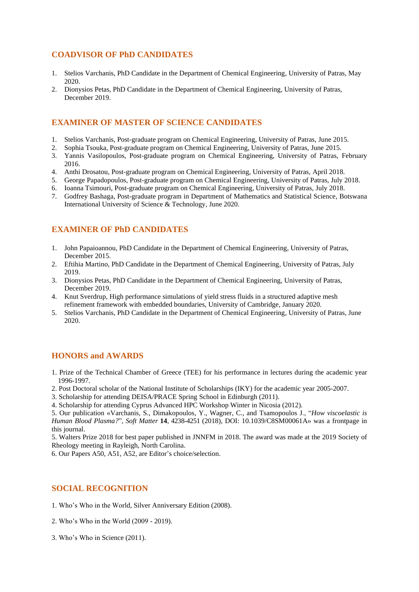## **COADVISOR OF PhD CANDIDATES**

- 1. Stelios Varchanis, PhD Candidate in the Department of Chemical Engineering, University of Patras, May 2020.
- 2. Dionysios Petas, PhD Candidate in the Department of Chemical Engineering, University of Patras, December 2019.

## **EXAMINER OF MASTER OF SCIENCE CANDIDATES**

- 1. Stelios Varchanis, Post-graduate program on Chemical Engineering, University of Patras, June 2015.
- 2. Sophia Tsouka, Post-graduate program on Chemical Engineering, University of Patras, June 2015.
- 3. Yannis Vasilopoulos, Post-graduate program on Chemical Engineering, University of Patras, February 2016.
- 4. Anthi Drosatou, Post-graduate program on Chemical Engineering, University of Patras, April 2018.
- 5. George Papadopoulos, Post-graduate program on Chemical Engineering, University of Patras, July 2018.
- 6. Ioanna Tsimouri, Post-graduate program on Chemical Engineering, University of Patras, July 2018.
- 7. Godfrey Bashaga, Post-graduate program in Department of Mathematics and Statistical Science, Botswana International University of Science & Technology, June 2020.

# **EXAMINER OF PhD CANDIDATES**

- 1. John Papaioannou, PhD Candidate in the Department of Chemical Engineering, University of Patras, December 2015.
- 2. Eftihia Martino, PhD Candidate in the Department of Chemical Engineering, University of Patras, July 2019.
- 3. Dionysios Petas, PhD Candidate in the Department of Chemical Engineering, University of Patras, December 2019.
- 4. Knut Sverdrup, High performance simulations of yield stress fluids in a structured adaptive mesh refinement framework with embedded boundaries, University of Cambridge, January 2020.
- 5. Stelios Varchanis, PhD Candidate in the Department of Chemical Engineering, University of Patras, June 2020.

## **HONORS and AWARDS**

- 1. Prize of the Technical Chamber of Greece (TEE) for his performance in lectures during the academic year 1996-1997.
- 2. Post Doctoral scholar of the National Institute of Scholarships (IKY) for the academic year 2005-2007.
- 3. Scholarship for attending DEISA/PRACE Spring School in Edinburgh (2011).
- 4. Scholarship for attending Cyprus Advanced HPC Workshop Winter in Nicosia (2012).

5. Our publication «Varchanis, S., Dimakopoulos, Y., Wagner, C., and Tsamopoulos J., "*How viscoelastic is Human Blood Plasma?*", *Soft Matter* **14**, 4238-4251 (2018), DOI: 10.1039/C8SM00061A» was a frontpage in this journal.

5. Walters Prize 2018 for best paper published in JNNFM in 2018. The award was made at the 2019 Society of Rheology meeting in Rayleigh, North Carolina.

6. Our Papers Α50, Α51, Α52, are Editor's choice/selection.

## **SOCIAL RECOGNITION**

- 1. Who's Who in the World, Silver Anniversary Edition (2008).
- 2. Who's Who in the World (2009 2019).
- 3. Who's Who in Science (2011).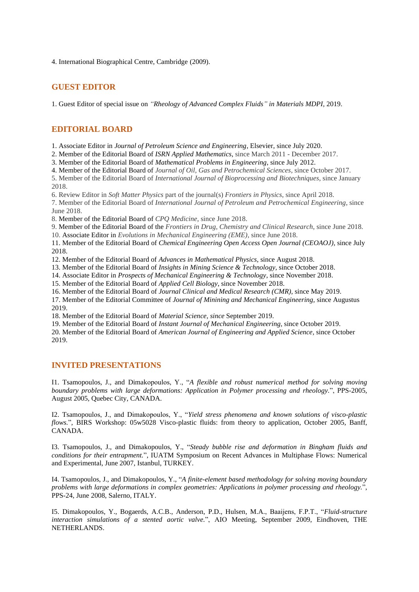4. International Biographical Centre, Cambridge (2009).

## **GUEST EDITOR**

1. Guest Editor of special issue on *"Rheology of Advanced Complex Fluids" in Materials MDPI,* 2019.

## **EDITORIAL BOARD**

1. Associate Editor in *Journal of Petroleum Science and Engineering*, Elsevier, since July 2020.

2. Member of the Editorial Board of *ISRN Applied Mathematics*, since March 2011 - December 2017.

3. Member of the Editorial Board of *Mathematical Problems in Engineering*, since July 2012.

4. Member of the Editorial Board of *Journal of Oil, Gas and Petrochemical Sciences*, since October 2017.

5. Member of the Editorial Board of *International Journal of Bioprocessing and Biotechniques*, since January 2018.

6. Review Editor in *Soft Matter Physics* part of the journal(s) *Frontiers in Physics*, since April 2018.

7. Member of the Editorial Board of *International Journal of Petroleum and Petrochemical Engineering*, since June 2018.

8. Member of the Editorial Board of *CPQ Medicine*, since June 2018.

9. Member of the Editorial Board of the *Frontiers in Drug, Chemistry and Clinical Research*, since June 2018.

10. Associate Editor in *Evolutions in Mechanical Engineering (EME)*, since June 2018.

11. Member of the Editorial Board of *Chemical Engineering Open Access Open Journal (CEOAOJ)*, since July 2018.

12. Member of the Editorial Board of *Advances in Mathematical Physics*, since August 2018.

13. Member of the Editorial Board of *Insights in Mining Science & Technology,* since October 2018.

14. Associate Editor in *Prospects of Mechanical Engineering & Technology*, since November 2018.

15. Member of the Editorial Board of *Applied Cell Biology*, since November 2018.

16. Member of the Editorial Board of *Journal [Clinical and Medical Research](http://sciencetxt.org/listofjournals/clinical_and_medical_research) (CMR),* since May 2019.

17. Member of the Editorial Committee of *Journal of Minining and Mechanical Engineering,* since Augustus 2019.

18. Member of the Editorial Board of *Material Science, since* September 2019.

19. Member of the Editorial Board of *Instant Journal of Mechanical Engineering,* since October 2019.

20*.* Member of the Editorial Board of *American Journal of Engineering and Applied Science,* since October 2019.

## **INVITED PRESENTATIONS**

I1. Tsamopoulos, J., and Dimakopoulos, Y., "*A flexible and robust numerical method for solving moving boundary problems with large deformations: Application in Polymer processing and rheology.*", PPS-2005, August 2005, Quebec City, CANADA.

I2. Tsamopoulos, J., and Dimakopoulos, Y., "*Yield stress phenomena and known solutions of visco-plastic flows.*", BIRS Workshop: 05w5028 Visco-plastic fluids: from theory to application, October 2005, Banff, CANADA.

I3. Tsamopoulos, J., and Dimakopoulos, Y., "*Steady bubble rise and deformation in Bingham fluids and conditions for their entrapment.*", IUATM Symposium on Recent Advances in Multiphase Flows: Numerical and Experimental, June 2007, Istanbul, TURKEY.

I4. Tsamopoulos, J., and Dimakopoulos, Y., "*A finite-element based methodology for solving moving boundary problems with large deformations in complex geometries: Applications in polymer processing and rheology.*", PPS-24, June 2008, Salerno, ITALY.

I5. Dimakopoulos, Y., Bogaerds, A.C.B., Anderson, P.D., Hulsen, M.A., Baaijens, F.P.T., "*Fluid-structure interaction simulations of a stented aortic valve.*", AIO Meeting, September 2009, Eindhoven, THE NETHERLANDS.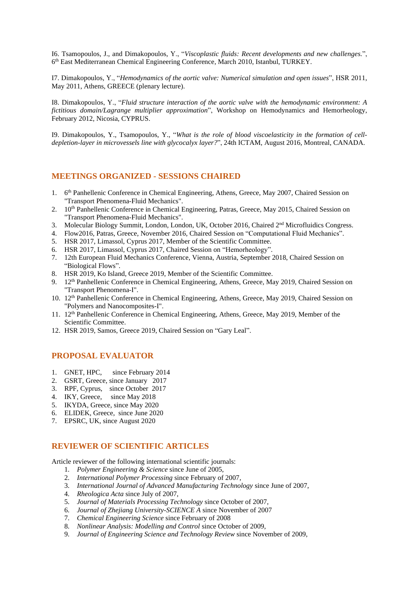I6. Tsamopoulos, J., and Dimakopoulos, Y., "*Viscoplastic fluids: Recent developments and new challenges.*", 6 th East Mediterranean Chemical Engineering Conference, March 2010, Istanbul, TURKEY.

I7. Dimakopoulos, Y., "*Hemodynamics of the aortic valve: Numerical simulation and open issues*", HSR 2011, May 2011, Athens, GREECE (plenary lecture).

I8. Dimakopoulos, Y., "*Fluid structure interaction of the aortic valve with the hemodynamic environment: A fictitious domain/Lagrange multiplier approximation*", Workshop on Hemodynamics and Hemorheology, February 2012, Nicosia, CYPRUS.

I9. Dimakopoulos, Y., Tsamopoulos, Y., "*What is the role of blood viscoelasticity in the formation of celldepletion-layer in microvessels line with glycocalyx layer?*", 24th ICTAM, August 2016, Montreal, CANADA.

## **MEETINGS ORGANIZED - SESSIONS CHAIRED**

- 1. 6<sup>th</sup> Panhellenic Conference in Chemical Engineering, Athens, Greece, May 2007, Chaired Session on "Transport Phenomena-Fluid Mechanics".
- 2. 10<sup>th</sup> Panhellenic Conference in Chemical Engineering, Patras, Greece, May 2015, Chaired Session on "Transport Phenomena-Fluid Mechanics".
- 3. Molecular Biology Summit, London, London, UK, October 2016, Chaired 2<sup>nd</sup> Microfluidics Congress.
- 4. Flow2016, Patras, Greece, November 2016, Chaired Session on "Computational Fluid Mechanics".
- 5. HSR 2017, Limassol, Cyprus 2017, Member of the Scientific Committee.
- 6. HSR 2017, Limassol, Cyprus 2017, Chaired Session on "Hemorheology".
- 7. 12th European Fluid Mechanics Conference, Vienna, Austria, September 2018, Chaired Session on "Biological Flows".
- 8. HSR 2019, Ko Island, Greece 2019, Member of the Scientific Committee.
- 9. 12<sup>th</sup> Panhellenic Conference in Chemical Engineering, Athens, Greece, May 2019, Chaired Session on "Transport Phenomena-I".
- 10. 12<sup>th</sup> Panhellenic Conference in Chemical Engineering, Athens, Greece, May 2019, Chaired Session on "Polymers and Nanocomposites-I".
- 11. 12th Panhellenic Conference in Chemical Engineering, Athens, Greece, May 2019, Member of the Scientific Committee.
- 12. HSR 2019, Samos, Greece 2019, Chaired Session on "Gary Leal".

## **PROPOSAL EVALUATOR**

- 1. GNET, HPC, since February 2014
- 2. GSRT, Greece, since January 2017
- 3. RPF, Cyprus, since October 2017
- 4. IKY, Greece, since May 2018
- 5. IKYDA, Greece, since May 2020
- 6. ELIDEK, Greece, since June 2020
- 7. EPSRC, UK, since August 2020

#### **REVIEWER OF SCIENTIFIC ARTICLES**

Article reviewer of the following international scientific journals:

- 1. *Polymer Engineering & Science* since June of 2005,
- 2. *International Polymer Processing* since February of 2007,
- 3. *International Journal of Advanced Manufacturing Technology* since June of 2007,
- 4. *Rheologica Acta* since July of 2007,
- 5. *Journal of Materials Processing Technology* since October of 2007,
- 6. *Journal of Zhejiang University-SCIENCE A* since November of 2007
- 7. *Chemical Engineering Science* since February of 2008
- 8. *Nonlinear Analysis: Modelling and Control* since October of 2009,
- 9. *Journal of Engineering Science and Technology Review* since November of 2009,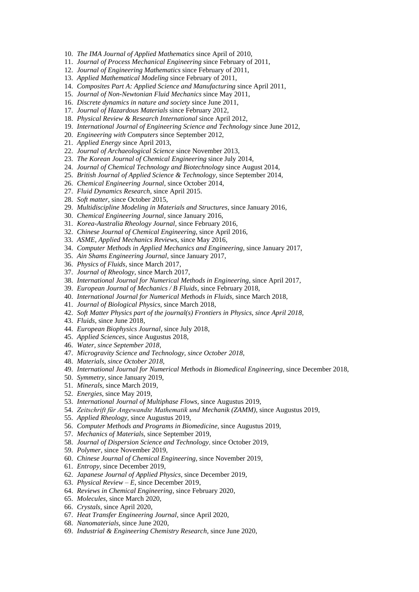- 10. *The IMA Journal of Applied Mathematics* since April of 2010,
- 11. *Journal of Process Mechanical Engineering* since February of 2011,
- 12. *Journal of Engineering Mathematics* since February of 2011,
- 13. *Applied Mathematical Modeling* since February of 2011,
- 14. *Composites Part A: Applied Science and Manufacturing* since April 2011,
- 15. *Journal of Non-Newtonian Fluid Mechanics* since May 2011,
- 16. *Discrete dynamics in nature and society* since June 2011,
- 17. *Journal of Hazardous Materials* since February 2012,
- 18. *Physical Review & Research International* since April 2012,
- 19. *International Journal of Engineering Science and Technology* since June 2012,
- 20. *Engineering with Computers* since September 2012,
- 21. *Applied Energy* since April 2013,
- 22. *Journal of Archaeological Science* since November 2013,
- 23. *The Korean Journal of Chemical Engineering* since July 2014,
- 24. *Journal of Chemical Technology and Biotechnology* since August 2014,
- 25. *British Journal of Applied Science & Technology,* since September 2014*,*
- 26. *Chemical Engineering Journal,* since October 2014,
- 27. *Fluid Dynamics Research,* since April 2015.
- 28. *Soft matter*, since October 2015,
- 29. *Multidiscipline Modeling in Materials and Structures,* since January 2016,
- 30. *Chemical Engineering Journal,* since January 2016,
- 31. *Korea-Australia Rheology Journal,* since February 2016,
- 32. *Chinese Journal of Chemical Engineering*, since April 2016,
- 33. *ASME, Applied Mechanics Reviews,* since May 2016,
- 34. *Computer Methods in Applied Mechanics and Engineering,* since January 2017,
- 35. *Ain Shams Engineering Journal,* since January 2017,
- 36. *Physics of Fluids,* since March 2017,
- 37. *Journal of Rheology,* since March 2017,
- 38. *International Journal for Numerical Methods in Engineering,* since April 2017*,*
- 39. *European Journal of Mechanics / B Fluids,* since February 2018,
- 40. *International Journal for Numerical Methods in Fluids,* since March 2018,
- 41. *Journal of Biological Physics,* since March 2018,
- 42. *Soft Matter Physics part of the journal(s) Frontiers in Physics, since April 2018,*
- 43. *Fluids,* since June 2018*,*
- 44. *European Biophysics Journal,* since July 2018,
- 45. *Applied Sciences,* since Augustus 2018,
- 46. *Water, since September 2018,*
- 47. *Microgravity Science and Technology, since October 2018,*
- 48. *Materials, since October 2018,*
- 49. *International Journal for Numerical Methods in Biomedical Engineering,* since December 2018,
- 50. *Symmetry,* since January 2019,
- 51. *Minerals,* since March 2019,
- 52. *Energies,* since May 2019,
- 53. *International Journal of Multiphase Flows,* since Augustus 2019,
- 54. *Zeitschrift für Angewandte Mathematik und Mechanik (ZAMM)*, since Augustus 2019,
- 55. *Applied Rheology,* since Augustus 2019,
- 56. *Computer Methods and Programs in Biomedicine,* since Augustus 2019,
- 57. *Mechanics of Materials,* since September 2019,
- 58. *Journal of Dispersion Science and Technology*, since October 2019,
- 59. *Polymer*, since November 2019,
- 60. *Chinese Journal of Chemical Engineering,* since November 2019,
- 61. *Entropy,* since December 2019,
- 62. *Japanese Journal of Applied Physics,* since December 2019,
- 63. *Physical Review – E*, since December 2019,
- 64. *Reviews in Chemical Engineering,* since February 2020,
- 65. *Molecules,* since March 2020,
- 66. *Crystals,* since April 2020,
- 67. *Heat Transfer Engineering Journal,* since April 2020,
- 68. *Nanomaterials,* since June 2020,
- 69. *Industrial & Engineering Chemistry Research,* since June 2020,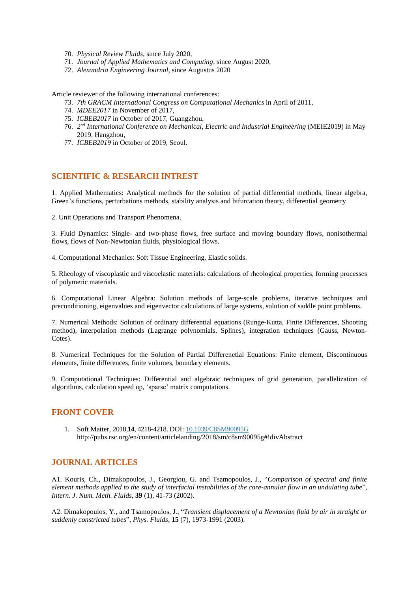- 70. *Physical Review Fluids*, since July 2020,
- 71. *Journal of Applied Mathematics and Computing*, since August 2020,
- 72. *Alexandria Engineering Journal*, since Augustus 2020

Article reviewer of the following international conferences:

- 73. *7th GRACM International Congress on Computational Mechanics* in April of 2011,
- 74. *MDEE2017* in November of 2017,
- 75. *ICBEB2017* in October of 2017*,* Guangzhou,
- 76. *2 nd International Conference on Mechanical, Electric and Industrial Engineering* (MEIE2019) in May 2019, Hangzhou,
- 77. *ICBEB2019* in October of 2019*,* Seoul.

## **SCIENTIFIC & RESEARCH INTREST**

1. Applied Mathematics: Analytical methods for the solution of partial differential methods, linear algebra, Green's functions, perturbations methods, stability analysis and bifurcation theory, differential geometry

2. Unit Operations and Transport Phenomena.

3. Fluid Dynamics: Single- and two-phase flows, free surface and moving boundary flows, nonisothermal flows, flows of Non-Newtonian fluids, physiological flows.

4. Computational Mechanics: Soft Tissue Engineering, Elastic solids.

5. Rheology of viscoplastic and viscoelastic materials: calculations of rheological properties, forming processes of polymeric materials.

6. Computational Linear Algebra: Solution methods of large-scale problems, iterative techniques and preconditioning, eigenvalues and eigenvector calculations of large systems, solution of saddle point problems.

7. Numerical Methods: Solution of ordinary differential equations (Runge-Kutta, Finite Differences, Shooting method), interpolation methods (Lagrange polynomials, Splines), integration techniques (Gauss, Newton-Cotes).

8. Numerical Techniques for the Solution of Partial Differenetial Equations: Finite element, Discontinuous elements, finite differences, finite volumes, boundary elements.

9. Computational Techniques: Differential and algebraic techniques of grid generation, parallelization of algorithms, calculation speed up, 'sparse' matrix computations.

## **FRONT COVER**

1. Soft Matter, 2018,**14**, 4218-4218. DOI: 10.1039/C8SM90095G http://pubs.rsc.org/en/content/articlelanding/2018/sm/c8sm90095g#!divAbstract

#### **JOURNAL ARTICLES**

Α1. Kouris, Ch., Dimakopoulos, J., Georgiou, G. and Tsamopoulos, J., "*Comparison of spectral and finite element methods applied to the study of interfacial instabilities of the core-annular flow in an undulating tube*"*, Intern. J. Num. Meth. Fluids*, **39** (1), 41-73 (2002).

Α2. Dimakopoulos, Y., and Tsamopoulos, J., "*Transient displacement of a Newtonian fluid by air in straight or suddenly constricted tubes*", *Phys. Fluids*, **15** (7), 1973-1991 (2003).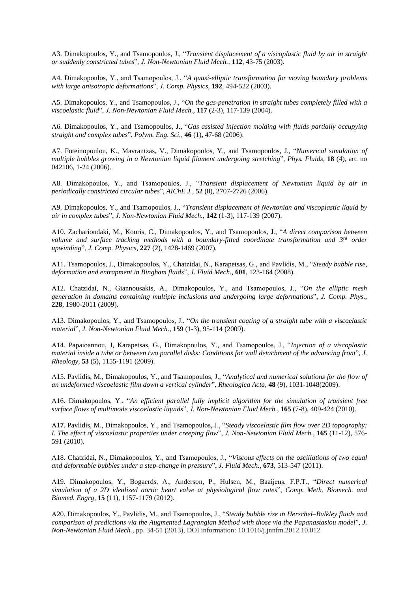Α3. Dimakopoulos, Y., and Tsamopoulos, J., "*Transient* d*isplacement of a viscoplastic fluid by air in straight or suddenly constricted tubes*", *J. Non-Newtonian Fluid Mech.*, **112**, 43-75 (2003).

Α4. Dimakopoulos, Y., and Tsamopoulos, J., "*A quasi-elliptic transformation for moving boundary problems with large anisotropic deformations*", *J. Comp. Physics*, **192**, 494-522 (2003).

Α5. Dimakopoulos, Y., and Tsamopoulos, J., "*On the gas-penetration in straight tubes completely filled with a viscoelastic fluid*", *J. Non-Newtonian Fluid Mech.*, **117** (2-3), 117-139 (2004).

Α6. Dimakopoulos, Y., and Tsamopoulos, J., "*Gas assisted injection molding with fluids partially occupying straight and complex tubes*", *Polym. Eng. Sci.*, **46** (1), 47-68 (2006).

Α7. Foteinopoulou, K., Mavrantzas, V., Dimakopoulos, Y., and Tsamopoulos, J., "*Numerical simulation of multiple bubbles growing in a Newtonian liquid filament undergoing stretching*", *Phys. Fluids*, **18** (4), art. no 042106, 1-24 (2006).

Α8. Dimakopoulos, Y., and Tsamopoulos, J., "*Transient displacement of Newtonian liquid by air in periodically constricted circular tubes*", *AIChE J.*, **52** (8), 2707-2726 (2006).

Α9. Dimakopoulos, Y., and Tsamopoulos, J., "*Transient displacement of Newtonian and viscoplastic liquid by air in complex tubes*", *J. Non-Newtonian Fluid Mech.*, **142** (1-3), 117-139 (2007).

Α10. Zacharioudaki, M., Kouris, C., Dimakopoulos, Y., and Tsamopoulos, J., "*A direct comparison between volume and surface tracking methods with a boundary-fitted coordinate transformation and 3rd order upwinding*", *J. Comp. Physics*, **227** (2), 1428-1469 (2007).

Α11. Tsamopoulos, J., Dimakopoulos, Y., Chatzidai, N., Karapetsas, G., and Pavlidis, M., "*Steady bubble rise, deformation and entrapment in Bingham fluids*", *J. Fluid Mech.,* **601***,* 123-164 (2008).

Α12. Chatzidai, N., Giannousakis, A., Dimakopoulos, Y., and Tsamopoulos, J., "*On the elliptic mesh generation in domains containing multiple inclusions and undergoing large deformations*", *J. Comp. Phys.*, **228**, 1980-2011 (2009).

Α13. Dimakopoulos, Y., and Tsamopoulos, J., "*On the transient coating of a straight tube with a viscoelastic material*", *J. Non-Newtonian Fluid Mech.*, **159** (1-3), 95-114 (2009).

Α14. Papaioannou, J, Karapetsas, G., Dimakopoulos, Y., and Tsamopoulos, J., "*Injection of a viscoplastic material inside a tube or between two parallel disks: Conditions for wall detachment of the advancing front*", *J. Rheology*, **53** (5), 1155-1191 (2009).

Α15. Pavlidis, M., Dimakopoulos, Y., and Tsamopoulos, J., "*Analytical and numerical solutions for the flow of an undeformed viscoelastic film down a vertical cylinder*", *Rheologica Acta,* **48** (9), 1031-1048(2009).

Α16. Dimakopoulos, Y., "*An efficient parallel fully implicit algorithm for the simulation of transient free surface flows of multimode viscoelastic liquids*", *J. Non-Newtonian Fluid Mech.*, **165** (7-8), 409-424 (2010).

Α1**7**. Pavlidis, M., Dimakopoulos, Y., and Tsamopoulos, J., "*Steady viscoelastic film flow over 2D topography: I. The effect of viscoelastic properties under creeping flow*", *J. Non-Newtonian Fluid Mech.*, **165** (11-12), 576- 591 (2010).

Α18. Chatzidai, N., Dimakopoulos, Y., and Tsamopoulos, J., "*Viscous effects on the oscillations of two equal and deformable bubbles under a step-change in pressure*", *J. Fluid Mech.*, **673**, 513-547 (2011).

Α19. Dimakopoulos, Y., Bogaerds, A., Anderson, P., Hulsen, M., Baaijens, F.P.T., "*Direct numerical simulation of a 2D idealized aortic heart valve at physiological flow rates*", *Comp. Meth. Biomech. and Biomed. Engrg,* **15** (11), 1157-1179 (2012).

Α20. Dimakopoulos, Y., Pavlidis, M., and Tsamopoulos, J., "*Steady bubble rise in Herschel–Bulkley fluids and comparison of predictions via the Augmented Lagrangian Method with those via the Papanastasiou model*", *J. Non-Newtonian Fluid Mech.,* pp. 34-51 (2013), DOI information: 10.1016/j.jnnfm.2012.10.012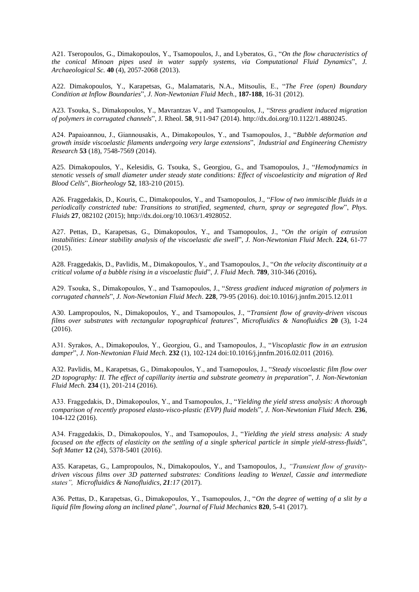Α21. Tseropoulos, G., Dimakopoulos, Y., Tsamopoulos, J., and Lyberatos, G., "*On the flow characteristics of the conical Minoan pipes used in water supply systems, via Computational Fluid Dynamics*", *[J.](http://www.scopus.com/source/sourceInfo.url?sourceId=31405&origin=resultslist)  [Archaeological Sc.](http://www.scopus.com/source/sourceInfo.url?sourceId=31405&origin=resultslist)* **40** (4), 2057-2068 (2013).

Α22. Dimakopoulos, Y., Karapetsas, G., Malamataris, N.A., Mitsoulis, E., "*The Free (open) Boundary Condition at Inflow Boundaries*", *J. Non-Newtonian Fluid Mech.,* **187-188***,* 16-31 (2012).

Α23. Tsouka, S., Dimakopoulos, Y., Mavrantzas V., and Tsamopoulos, J., "*Stress gradient induced migration of polymers in corrugated channels*", J. Rheol. **58**, 911-947 (2014). http://dx.doi.org/10.1122/1.4880245.

Α24. Papaioannou, J., Giannousakis, A., Dimakopoulos, Y., and Tsamopoulos, J., "*[Bubble deformation and](http://www.scopus.com/record/display.url?eid=2-s2.0-84900406735&origin=resultslist&sort=plf-f&src=s&st1=Dimakopoulos&sid=3F1B23DF94BA9B348159D03724BCE654.WXhD7YyTQ6A7Pvk9AlA%3a20&sot=b&sdt=b&sl=25&s=AUTHOR-NAME%28Dimakopoulos%29&relpos=1&relpos=1&citeCnt=0&searchTerm=AUTHOR-NAME%28Dimakopoulos%29)  [growth inside viscoelastic filaments undergoing very large extensions](http://www.scopus.com/record/display.url?eid=2-s2.0-84900406735&origin=resultslist&sort=plf-f&src=s&st1=Dimakopoulos&sid=3F1B23DF94BA9B348159D03724BCE654.WXhD7YyTQ6A7Pvk9AlA%3a20&sot=b&sdt=b&sl=25&s=AUTHOR-NAME%28Dimakopoulos%29&relpos=1&relpos=1&citeCnt=0&searchTerm=AUTHOR-NAME%28Dimakopoulos%29)*", *Industrial and Engineering Chemistry Research* **53** (18), 7548-7569 (2014).

A25. Dimakopoulos, Y., Kelesidis, G. Tsouka, S., Georgiou, G., and Tsamopoulos, J., "*Hemodynamics in stenotic vessels of small diameter under steady state conditions: Effect of viscoelasticity and migration of Red Blood Cells*", *Biorheology* **52**, 183-210 (2015).

A26. Fraggedakis, D., Kouris, C., Dimakopoulos, Y., and Tsamopoulos, J., "*Flow of two immiscible fluids in a periodically constricted tube: Transitions to stratified, segmented, churn, spray or segregated flow*", *Phys. Fluids* **27**, 082102 (2015); http://dx.doi.org/10.1063/1.4928052.

A27. Pettas, D., Karapetsas, G., Dimakopoulos, Y., and Tsamopoulos, J., "*On the origin of extrusion instabilities: Linear stability analysis of the viscoelastic die swell*", *J. Non-Newtonian Fluid Mech.* **224**, 61-77 (2015).

A28. Fraggedakis, D., Pavlidis, M., Dimakopoulos, Y., and Tsamopoulos, J., "*On the velocity discontinuity at a critical volume of a bubble rising in a viscoelastic fluid*", *J. Fluid Mech.* **789**, 310-346 (2016)**.**

Α29. Tsouka, S., Dimakopoulos, Y., and Tsamopoulos, J., "*Stress gradient induced migration of polymers in corrugated channels*", *J. Non-Newtonian Fluid Mech*. **228**, 79-95 (2016). doi:10.1016/j.jnnfm.2015.12.011

Α30. Lampropoulos, N., Dimakopoulos, Y., and Tsamopoulos, J., "*Transient flow of gravity-driven viscous films over substrates with rectangular topographical features*", *Microfluidics & Nanofluidics* **20** (3), 1-24 (2016).

Α31. Syrakos, A., Dimakopoulos, Y., Georgiou, G., and Tsamopoulos, J., "*Viscoplastic flow in an extrusion damper*", *J. Non-Newtonian Fluid Mech.* **232** (1)*,* 102-124 doi:10.1016/j.jnnfm.2016.02.011 (2016).

A32. Pavlidis, M., Karapetsas, G., Dimakopoulos, Y., and Tsamopoulos, J., "*Steady viscoelastic film flow over 2D topography: II. The effect of capillarity inertia and substrate geometry in preparation*", *J. Non-Newtonian Fluid Mech.* **234** (1), 201-214 (2016).

A33. Fraggedakis, D., Dimakopoulos, Y., and Tsamopoulos, J., "*Yielding the yield stress analysis: A thorough comparison of recently proposed elasto-visco-plastic (EVP) fluid models*", *J. Non-Newtonian Fluid Mech.* **236**, 104-122 (2016).

A34. Fraggedakis, D., Dimakopoulos, Y., and Tsamopoulos, J., "*Yielding the yield stress analysis: A study focused on the effects of elasticity on the settling of a single spherical particle in simple yield-stress-fluids*", *Soft Matter* **12** (24), 5378-5401 (2016).

A35. Karapetas, G., Lampropoulos, N., Dimakopoulos, Y., and Tsamopoulos, J., *"Transient flow of gravitydriven viscous films over 3D patterned substrates: Conditions leading to Wenzel, Cassie and intermediate states", Microfluidics & Nanofluidics, 21:17* (2017).

A36. Pettas, D., Karapetsas, G., Dimakopoulos, Y., Tsamopoulos, J., "*On the degree of wetting of a slit by a liquid film flowing along an inclined plane*", *Journal of Fluid Mechanics* **820**, 5-41 (2017).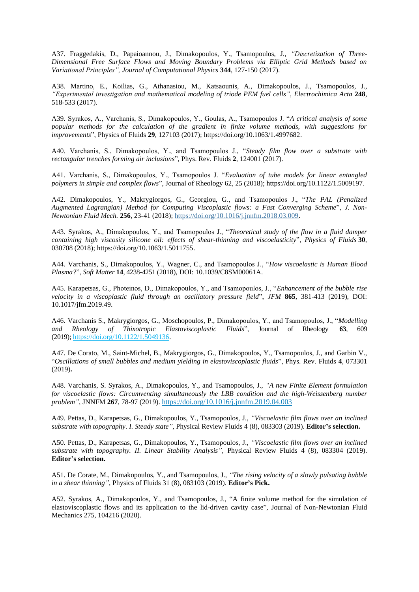A37. Fraggedakis, D., Papaioannou, J., Dimakopoulos, Y., Tsamopoulos, J., *"Discretization of Three-Dimensional Free Surface Flows and Moving Boundary Problems via Elliptic Grid Methods based on Variational Principles", Journal of Computational Physics* **344**, 127-150 (2017).

A38. Martino, E., Koilias, G., Athanasiou, M., Katsaounis, A., Dimakopoulos, J., Tsamopoulos, J., *"Experimental investigation and mathematical modeling of triode PEM fuel cells", Electrochimica Acta* **248**, 518-533 (2017)*.*

A39. Syrakos, A., Varchanis, S., Dimakopoulos, Y., Goulas, A., Tsamopoulos J. "*A critical analysis of some popular methods for the calculation of the gradient in finite volume methods, with suggestions for improvements*", Physics of Fluids **29**, 127103 (2017); https://doi.org/10.1063/1.4997682.

A40. Varchanis, S., Dimakopoulos, Y., and Tsamopoulos J., "*Steady film flow over a substrate with rectangular trenches forming air inclusions*", Phys. Rev. Fluids **2**, 124001 (2017).

A41. Varchanis, S., Dimakopoulos, Y., Tsamopoulos J. "*Evaluation of tube models for linear entangled polymers in simple and complex flows*", Journal of Rheology 62, 25 (2018); https://doi.org/10.1122/1.5009197.

A42. Dimakopoulos, Y., Makrygiorgos, G., Georgiou, G., and Tsamopoulos J., "*The PAL (Penalized Augmented Lagrangian) Method for Computing Viscoplastic flows: a Fast Converging Scheme*", *J. Non-Newtonian Fluid Mech.* **256**, 23-41 (2018)[; https://doi.org/10.1016/j.jnnfm.2018.03.009.](https://doi.org/10.1016/j.jnnfm.2018.03.009)

A43. Syrakos, A., Dimakopoulos, Y., and Tsamopoulos J., "*Theoretical study of the flow in a fluid damper containing high viscosity silicone oil: effects of shear-thinning and viscoelasticity*", *Physics of Fluids* **30**, 030708 (2018); https://doi.org/10.1063/1.5011755.

A44. Varchanis, S., Dimakopoulos, Y., Wagner, C., and Tsamopoulos J., "*How viscoelastic is Human Blood Plasma?*", *Soft Matter* **14**, 4238-4251 (2018), DOI: 10.1039/C8SM00061A.

A45. Karapetsas, G., Photeinos, D., Dimakopoulos, Y., and Tsamopoulos, J., "*Enhancement of the bubble rise velocity in a viscoplastic fluid through an oscillatory pressure field*", *JFM* **865**, 381-413 (2019), DOI: 10.1017/jfm.2019.49.

A46. Varchanis S., Makrygiorgos, G., Moschopoulos, P., Dimakopoulos, Y., and Tsamopoulos, J., "*Modelling and Rheology of Thixotropic Elastoviscoplastic Fluids*", Journal of Rheology **63**, 609 (2019); [https://doi.org/10.1122/1.5049136.](https://doi.org/10.1122/1.5049136)

A47. De Corato, M., Saint-Michel, B., Makrygiorgos, G., Dimakopoulos, Y., Tsamopoulos, J., and Garbin V., "*Oscillations of small bubbles and medium yielding in elastoviscoplastic fluids*", Phys. Rev. Fluids **4**, 073301 (2019)**.**

A48. Varchanis, S. Syrakos, A., Dimakopoulos, Y., and Tsamopoulos, J., *"A new Finite Element formulation for viscoelastic flows: Circumventing simultaneously the LBB condition and the high-Weissenberg number problem"*, JNNFM **[267](https://www.sciencedirect.com/science/journal/03770257/267/supp/C)**, 78-97 (2019). <https://doi.org/10.1016/j.jnnfm.2019.04.003>

A49. Pettas, D., Karapetsas, G., Dimakopoulos, Y., Tsamopoulos, J., *"Viscoelastic film flows over an inclined substrate with topography. I. Steady state"*, Physical Review Fluids 4 (8), 083303 (2019). **Editor's selection.**

A50. Pettas, D., Karapetsas, G., Dimakopoulos, Y., Tsamopoulos, J., *"Viscoelastic film flows over an inclined substrate with topography. II. Linear Stability Analysis"*, Physical Review Fluids 4 (8), 083304 (2019). **Editor's selection.**

A51. De Corate, M., Dimakopoulos, Y., and Tsamopoulos, J., *"The rising velocity of a slowly pulsating bubble in a shear thinning"*, Physics of Fluids 31 (8), 083103 (2019). **Editor's Pick.**

A52. Syrakos, A., Dimakopoulos, Y., and Tsamopoulos, J., "A finite volume method for the simulation of elastoviscoplastic flows and its application to the lid-driven cavity case", Journal of Non-Newtonian Fluid Mechanics 275, 104216 (2020).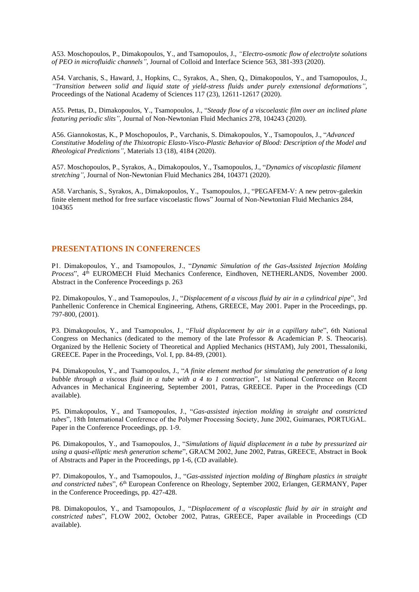A53. Moschopoulos, P., Dimakopoulos, Y., and Tsamopoulos, J., *"Electro-osmotic flow of electrolyte solutions of PEO in microfluidic channels"*, Journal of Colloid and Interface Science 563, 381-393 (2020).

A54. Varchanis, S., Haward, J., Hopkins, C., Syrakos, A., Shen, Q., Dimakopoulos, Y., and Tsamopoulos, J., *"Transition between solid and liquid state of yield-stress fluids under purely extensional deformations"*, Proceedings of the National Academy of Sciences 117 (23), 12611-12617 (2020).

A55. Pettas, D., Dimakopoulos, Y., Tsamopoulos, J., "*Steady flow of a viscoelastic film over an inclined plane featuring periodic slits",* Journal of Non-Newtonian Fluid Mechanics 278, 104243 (2020).

A56. Giannokostas, K., P Moschopoulos, P., Varchanis, S. Dimakopoulos, Y., Tsamopoulos, J., "*Advanced Constitutive Modeling of the Thixotropic Elasto-Visco-Plastic Behavior of Blood: Description of the Model and Rheological Predictions",* Materials 13 (18), 4184 (2020).

A57. Moschopoulos, P., Syrakos, A., Dimakopoulos, Y., Tsamopoulos, J., "*[Dynamics of viscoplastic filament](javascript:void(0))  [stretching"](javascript:void(0)),* Journal of Non-Newtonian Fluid Mechanics 284, 104371 (2020).

A58. Varchanis, S., Syrakos, A., Dimakopoulos, Y., Tsamopoulos, J., ["PEGAFEM-V: A new petrov-galerkin](javascript:void(0))  [finite element method for free surface viscoelastic flows"](javascript:void(0)) Journal of Non-Newtonian Fluid Mechanics 284, 104365

#### **PRESENTATIONS IN CONFERENCES**

P1. Dimakopoulos, Y., and Tsamopoulos, J., "*Dynamic Simulation of the Gas-Assisted Injection Molding Process*", 4<sup>th</sup> EUROMECH Fluid Mechanics Conference, Eindhoven, NETHERLANDS, November 2000. Abstract in the Conference Proceedings p. 263

P2. Dimakopoulos, Y., and Tsamopoulos, J., "*Displacement of a viscous fluid by air in a cylindrical pipe*", 3rd Panhellenic Conference in Chemical Engineering, Athens, GREECE, May 2001. Paper in the Proceedings, pp. 797-800, (2001).

P3. Dimakopoulos, Y., and Tsamopoulos, J., "*Fluid displacement by air in a capillary tube*", 6th National Congress on Mechanics (dedicated to the memory of the late Professor & Academician P. S. Theocaris). Organized by the Hellenic Society of Theoretical and Applied Mechanics (HSTAM), July 2001, Thessaloniki, GREECE. Paper in the Proceedings, Vol. I, pp. 84-89, (2001).

P4. Dimakopoulos, Y., and Tsamopoulos, J., "*A finite element method for simulating the penetration of a long bubble through a viscous fluid in a tube with a 4 to 1 contraction*", 1st National Conference on Recent Advances in Mechanical Engineering, September 2001, Patras, GREECE. Paper in the Proceedings (CD available).

P5. Dimakopoulos, Y., and Tsamopoulos, J., "*Gas-assisted injection molding in straight and constricted tubes*", 18th International Conference of the Polymer Processing Society, June 2002, Guimaraes, PORTUGAL. Paper in the Conference Proceedings, pp. 1-9.

P6. Dimakopoulos, Y., and Tsamopoulos, J., "*Simulations of liquid displacement in a tube by pressurized air using a quasi-elliptic mesh generation scheme*", GRACM 2002, June 2002, Patras, GREECE, Abstract in Book of Abstracts and Paper in the Proceedings, pp 1-6, (CD available).

P7. Dimakopoulos, Y., and Tsamopoulos, J., "*Gas-assisted injection molding of Bingham plastics in straight and constricted tubes*", 6th European Conference on Rheology, September 2002, Erlangen, GERMANY, Paper in the Conference Proceedings, pp. 427-428.

P8. Dimakopoulos, Y., and Tsamopoulos, J., "*Displacement of a viscoplastic fluid by air in straight and constricted tubes*", FLOW 2002, October 2002, Patras, GREECE, Paper available in Proceedings (CD available).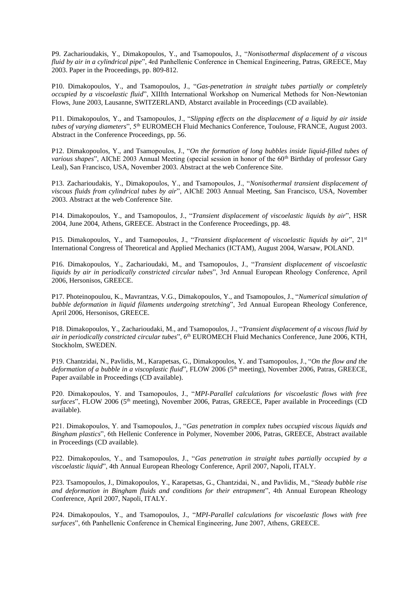P9. Zacharioudakis, Y., Dimakopoulos, Y., and Tsamopoulos, J., "*Nonisothermal displacement of a viscous fluid by air in a cylindrical pipe*", 4rd Panhellenic Conference in Chemical Engineering, Patras, GREECE, May 2003. Paper in the Proceedings, pp. 809-812.

P10. Dimakopoulos, Y., and Tsamopoulos, J., "*Gas-penetration in straight tubes partially or completely occupied by a viscoelastic fluid*", XIIIth International Workshop on Numerical Methods for Non-Newtonian Flows, June 2003, Lausanne, SWITZERLAND, Abstarct available in Proceedings (CD available).

P11. Dimakopoulos, Y., and Tsamopoulos, J., "*Slipping effects on the displacement of a liquid by air inside tubes of varying diameters*", 5th EUROMECH Fluid Mechanics Conference, Toulouse, FRANCE, August 2003. Abstract in the Conference Proceedings, pp. 56.

P12. Dimakopoulos, Y., and Tsamopoulos, J., "*On the formation of long bubbles inside liquid-filled tubes of various shapes*", AIChE 2003 Annual Meeting (special session in honor of the 60<sup>th</sup> Birthday of professor Gary Leal), San Francisco, USA, November 2003. Abstract at the web Conference Site.

P13. Zacharioudakis, Y., Dimakopoulos, Y., and Tsamopoulos, J., "*Nonisothermal transient displacement of viscous fluids from cylindrical tubes by air*", AIChE 2003 Annual Meeting, San Francisco, USA, November 2003. Abstract at the web Conference Site.

P14. Dimakopoulos, Y., and Tsamopoulos, J., "*Transient displacement of viscoelastic liquids by air*", HSR 2004, June 2004, Athens, GREECE. Abstract in the Conference Proceedings, pp. 48.

P15. Dimakopoulos, Y., and Tsamopoulos, J., "*Transient displacement of viscoelastic liquids by air*", 21st International Congress of Theoretical and Applied Mechanics (ICTAM), August 2004, Warsaw, POLAND.

P16. Dimakopoulos, Y., Zacharioudaki, M., and Tsamopoulos, J., "*Transient displacement of viscoelastic liquids by air in periodically constricted circular tubes*", 3rd Annual European Rheology Conference, April 2006, Hersonisos, GREECE.

P17. Photeinopoulou, K., Mavrantzas, V.G., Dimakopoulos, Y., and Tsamopoulos, J., "*Numerical simulation of bubble deformation in liquid filaments undergoing stretching*", 3rd Annual European Rheology Conference, April 2006, Hersonisos, GREECE.

P18. Dimakopoulos, Y., Zacharioudaki, M., and Tsamopoulos, J., "*Transient displacement of a viscous fluid by air in periodically constricted circular tubes*", 6th EUROMECH Fluid Mechanics Conference, June 2006, KTH, Stockholm, SWEDEN.

P19. Chantzidai, N., Pavlidis, M., Karapetsas, G., Dimakopoulos, Y. and Tsamopoulos, J., "*On the flow and the deformation of a bubble in a viscoplastic fluid*", FLOW 2006 (5<sup>th</sup> meeting), November 2006, Patras, GREECE, Paper available in Proceedings (CD available).

P20. Dimakopoulos, Y. and Tsamopoulos, J., "*MPI-Parallel calculations for viscoelastic flows with free surfaces*", FLOW 2006 (5th meeting), November 2006, Patras, GREECE, Paper available in Proceedings (CD available).

P21. Dimakopoulos, Y. and Tsamopoulos, J., "*Gas penetration in complex tubes occupied viscous liquids and Bingham plastics*", 6th Hellenic Conference in Polymer, November 2006, Patras, GREECE, Abstract available in Proceedings (CD available).

P22. Dimakopoulos, Y., and Tsamopoulos, J., "*Gas penetration in straight tubes partially occupied by a viscoelastic liquid*", 4th Annual European Rheology Conference, April 2007, Napoli, ITALY.

P23. Tsamopoulos, J., Dimakopoulos, Y., Karapetsas, G., Chantzidai, N., and Pavlidis, M., "*Steady bubble rise and deformation in Bingham fluids and conditions for their entrapment*", 4th Annual European Rheology Conference, April 2007, Napoli, ITALY.

P24. Dimakopoulos, Y., and Tsamopoulos, J., "*MPI-Parallel calculations for viscoelastic flows with free surfaces*", 6th Panhellenic Conference in Chemical Engineering, June 2007, Athens, GREECE.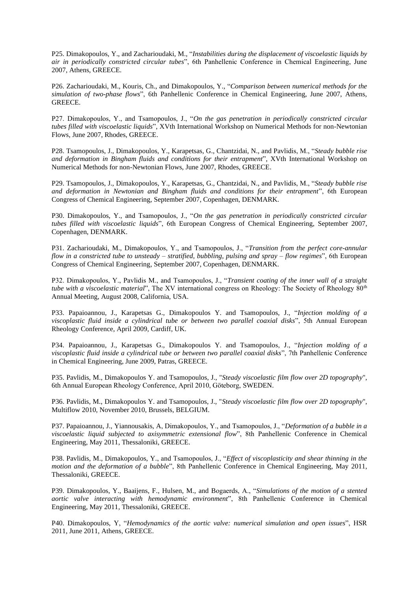P25. Dimakopoulos, Y., and Zacharioudaki, M., "*Instabilities during the displacement of viscoelastic liquids by air in periodically constricted circular tubes*", 6th Panhellenic Conference in Chemical Engineering, June 2007, Athens, GREECE.

P26. Zacharioudaki, M., Kouris, Ch., and Dimakopoulos, Y., "*Comparison between numerical methods for the simulation of two-phase flows*", 6th Panhellenic Conference in Chemical Engineering, June 2007, Athens, GREECE.

P27. Dimakopoulos, Y., and Tsamopoulos, J., "*On the gas penetration in periodically constricted circular tubes filled with viscoelastic liquids*", XVth International Workshop on Numerical Methods for non-Newtonian Flows, June 2007, Rhodes, GREECE.

P28. Tsamopoulos, J., Dimakopoulos, Y., Karapetsas, G., Chantzidai, N., and Pavlidis, M., "*Steady bubble rise and deformation in Bingham fluids and conditions for their entrapment*", XVth International Workshop on Numerical Methods for non-Newtonian Flows, June 2007, Rhodes, GREECE.

P29. Tsamopoulos, J., Dimakopoulos, Y., Karapetsas, G., Chantzidai, N., and Pavlidis, M., "*[Steady bubble rise](http://ecce6.kt.dtu.dk/cm/content/abstract/2473/)  [and deformation in Newtonian and Bingham fluids and conditions for their entrapment](http://ecce6.kt.dtu.dk/cm/content/abstract/2473/)*", 6th European Congress of Chemical Engineering, September 2007, Copenhagen, DENMARK.

P30. Dimakopoulos, Y., and Tsamopoulos, J., "*[On the gas penetration in periodically constricted circular](http://ecce6.kt.dtu.dk/cm/content/abstract/2474/)  [tubes filled with viscoelastic liquids](http://ecce6.kt.dtu.dk/cm/content/abstract/2474/)*", 6th European Congress of Chemical Engineering, September 2007, Copenhagen, DENMARK.

P31. Zacharioudaki, M., Dimakopoulos, Y., and Tsamopoulos, J., "*[Transition from the perfect core-annular](http://ecce6.kt.dtu.dk/cm/content/abstract/3146/)  [flow in a constricted tube to unsteady –](http://ecce6.kt.dtu.dk/cm/content/abstract/3146/) stratified, bubbling, pulsing and spray – flow regimes*", 6th European Congress of Chemical Engineering, September 2007, Copenhagen, DENMARK.

P32. Dimakopoulos, Y., Pavlidis M., and Tsamopoulos, J., "*[Transient](http://ecce6.kt.dtu.dk/cm/content/abstract/3146/) coating of the inner wall of a straight tube with a viscoelastic material*", The XV international congress on Rheology: The Society of Rheology 80<sup>th</sup> Annual Meeting, August 2008, California, USA.

P33. Papaioannou, J., Karapetsas G., Dimakopoulos Y. and Tsamopoulos, J., "*Injection molding of a viscoplastic fluid inside a cylindrical tube or between two parallel coaxial disks*", 5th Annual European Rheology Conference, April 2009, Cardiff, UK.

P34. Papaioannou, J., Karapetsas G., Dimakopoulos Y. and Tsamopoulos, J., "*Injection molding of a viscoplastic fluid inside a cylindrical tube or between two parallel coaxial disks*", 7th Panhellenic Conference in Chemical Engineering, June 2009, Patras, GREECE.

P35. Pavlidis, M., Dimakopoulos Y. and Tsamopoulos, J., "*Steady viscoelastic film flow over 2D topography*", 6th Annual European Rheology Conference, April 2010, Göteborg, SWEDEN.

P36. Pavlidis, M., Dimakopoulos Y. and Tsamopoulos, J., "*Steady viscoelastic film flow over 2D topography*", Multiflow 2010, November 2010, Brussels, BELGIUM.

P37. Papaioannou, J., Yiannousakis, A, Dimakopoulos, Y., and Tsamopoulos, J., "*Deformation of a bubble in a viscoelastic liquid subjected to axisymmetric extensional flow*", 8th Panhellenic Conference in Chemical Engineering, May 2011, Thessaloniki, GREECE.

P38. Pavlidis, M., Dimakopoulos, Y., and Tsamopoulos, J., "*Effect of viscoplasticity and shear thinning in the motion and the deformation of a bubble*", 8th Panhellenic Conference in Chemical Engineering, May 2011, Thessaloniki, GREECE.

P39. Dimakopoulos, Y., Baaijens, F., Hulsen, M., and Bogaerds, A., "*Simulations of the motion of a stented aortic valve interacting with hemodynamic environment*", 8th Panhellenic Conference in Chemical Engineering, May 2011, Thessaloniki, GREECE.

P40. Dimakopoulos, Y, "*Hemodynamics of the aortic valve: numerical simulation and open issues*", HSR 2011, June 2011, Athens, GREECE.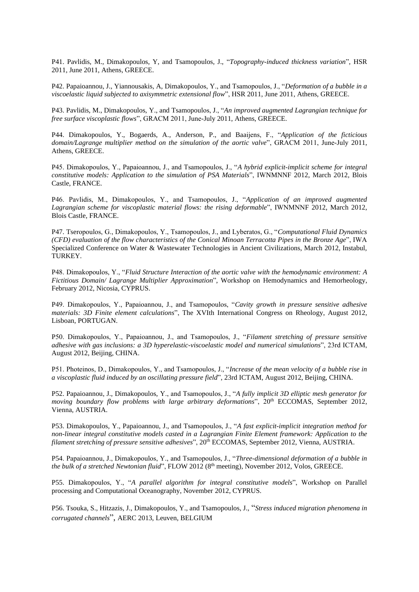P41. Pavlidis, M., Dimakopoulos, Y, and Tsamopoulos, J., "*Topography-induced thickness variation*", HSR 2011, June 2011, Athens, GREECE.

P42. Papaioannou, J., Yiannousakis, A, Dimakopoulos, Y., and Tsamopoulos, J., "*Deformation of a bubble in a viscoelastic liquid subjected to axisymmetric extensional flow*", HSR 2011, June 2011, Athens, GREECE.

P43. Pavlidis, M., Dimakopoulos, Y., and Tsamopoulos, J., "*An improved augmented Lagrangian technique for free surface viscoplastic flows*", GRACM 2011, June-July 2011, Athens, GREECE.

P44. Dimakopoulos, Y., Bogaerds, A., Anderson, P., and Baaijens, F., "*Application of the ficticious domain/Lagrange multiplier method on the simulation of the aortic valve*", GRACM 2011, June-July 2011, Athens, GREECE.

P45. Dimakopoulos, Y., Papaioannou, J., and Tsamopoulos, J., "*A hybrid explicit-implicit scheme for integral constitutive models: Application to the simulation of PSA Materials*", IWNMNNF 2012, March 2012, Blois Castle, FRANCE.

P46. Pavlidis, M., Dimakopoulos, Y., and Tsamopoulos, J., "*Application of an improved augmented Lagrangian scheme for viscoplastic material flows: the rising deformable*", IWNMNNF 2012, March 2012, Blois Castle, FRANCE.

P47. Tseropoulos, G., Dimakopoulos, Y., Tsamopoulos, J., and Lyberatos, G., "*Computational Fluid Dynamics (CFD) evaluation of the flow characteristics of the Conical Minoan Terracotta Pipes in the Bronze Age*", IWA Specialized Conference on Water & Wastewater Technologies in Ancient Civilizations, March 2012, Instabul, TURKEY.

P48. Dimakopoulos, Y., "*Fluid Structure Interaction of the aortic valve with the hemodynamic environment: A Fictitious Domain/ Lagrange Multiplier Approximation*", Workshop on Hemodynamics and Hemorheology, February 2012, Nicosia, CYPRUS.

P49. Dimakopoulos, Y., Papaioannou, J., and Tsamopoulos, "*Cavity growth in pressure sensitive adhesive materials: 3D Finite element calculations*", The XVIth International Congress on Rheology, August 2012, Lisboan, PORTUGAN.

P50. Dimakopoulos, Y., Papaioannou, J., and Tsamopoulos, J., "*Filament stretching of pressure sensitive adhesive with gas inclusions: a 3D hyperelastic-viscoelastic model and numerical simulations*", 23rd ICTAM, August 2012, Beijing, CHINA.

P51. Photeinos, D., Dimakopoulos, Y., and Tsamopoulos, J., "*Increase of the mean velocity of a bubble rise in a viscoplastic fluid induced by an oscillating pressure field*", 23rd ICTAM, August 2012, Beijing, CHINA.

P52. Papaioannou, J., Dimakopoulos, Y., and Tsamopoulos, J., "*A fully implicit 3D elliptic mesh generator for moving boundary flow problems with large arbitrary deformations*", 20th ECCOMAS, September 2012, Vienna, AUSTRIA.

P53. Dimakopoulos, Y., Papaioannou, J., and Tsamopoulos, J., "*A fast explicit-implicit integration method for non-linear integral constitutive models casted in a Lagrangian Finite Element framework: Application to the filament stretching of pressure sensitive adhesives*", 20th ECCOMAS, September 2012, Vienna, AUSTRIA.

P54. Papaioannou, J., Dimakopoulos, Y., and Tsamopoulos, J., "*Three-dimensional deformation of a bubble in the bulk of a stretched Newtonian fluid*", FLOW 2012 (8<sup>th</sup> meeting), November 2012, Volos, GREECE.

P55. Dimakopoulos, Y., "*A parallel algorithm for integral constitutive models*", Workshop on Parallel processing and Computational Oceanography, November 2012, CYPRUS.

P56. Tsouka, S., Hitzazis, J., Dimakopoulos, Y., and Tsamopoulos, J., "*Stress induced migration phenomena in corrugated channels*", AERC 2013, Leuven, BELGIUM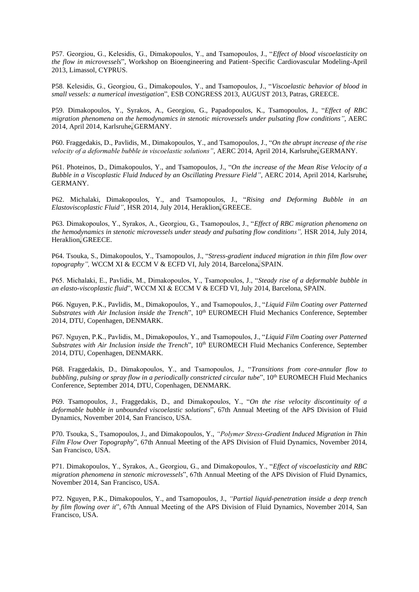P57. Georgiou, G., Kelesidis, G., Dimakopoulos, Y., and Tsamopoulos, J., "*Effect of blood viscoelasticity on the flow in microvessels*", Workshop on Bioengineering and Patient–Specific Cardiovascular Modeling-April 2013, Limassol, CYPRUS.

P58. Kelesidis, G., Georgiou, G., Dimakopoulos, Y., and Tsamopoulos, J., "*Viscoelastic behavior of blood in small vessels: a numerical investigation*", ESB CONGRESS 2013, AUGUST 2013, Patras, GREECE.

P59. Dimakopoulos, Y., Syrakos, A., Georgiou, G., Papadopoulos, K., Tsamopoulos, J., "*Effect of RBC migration phenomena on the hemodynamics in stenotic microvessels under pulsating flow conditions",* AERC 2014, April 2014, Karlsruhe**,** GERMANY.

P60. Fraggedakis, D., Pavlidis, M., Dimakopoulos, Y., and Tsamopoulos, J., "*On the abrupt increase of the rise velocity of a deformable bubble in viscoelastic solutions"*, AERC 2014, April 2014, Karlsruhe**,** GERMANY.

P61. Photeinos, D., Dimakopoulos, Y., and Tsamopoulos, J., "*On the increase of the Mean Rise Velocity of a Bubble in a Viscoplastic Fluid Induced by an Oscillating Pressure Field"*, AERC 2014, April 2014, Karlsruhe**,** GERMANY.

P62. Michalaki, Dimakopoulos, Y., and Tsamopoulos, J., "*Rising and Deforming Bubble in an Elastoviscoplastic Fluid"*, HSR 2014, July 2014, Heraklion**,** GREECE.

P63. Dimakopoulos, Y., Syrakos, A., Georgiou, G., Tsamopoulos, J., "*Effect of RBC migration phenomena on the hemodynamics in stenotic microvessels under steady and pulsating flow conditions",* HSR 2014, July 2014, Heraklion**,** GREECE.

P64. Tsouka, S., Dimakopoulos, Y., Tsamopoulos, J., "*[Stress-gradient induced migration in thin film](http://www.wccm-eccm-ecfd2014.org/admin/files/fileabstract/a3067.pdf) flow over [topography"](http://www.wccm-eccm-ecfd2014.org/admin/files/fileabstract/a3067.pdf),* WCCM XI & ECCM V & ECFD VI, July 2014, Barcelona**,** SPAIN.

P65. Michalaki, E., Pavlidis, M., Dimakopoulos, Y., Tsamopoulos, J., "*Steady rise of a [deformable bubble in](http://www.wccm-eccm-ecfd2014.org/admin/files/fileabstract/a3460.pdf)  [an elasto-viscoplastic fluid](http://www.wccm-eccm-ecfd2014.org/admin/files/fileabstract/a3460.pdf)*", WCCM XI & ECCM V & ECFD VI, July 2014, Barcelona, SPAIN.

P66. Nguyen, P.K., Pavlidis, M., Dimakopoulos, Y., and Tsamopoulos, J., "*Liquid Film Coating over Patterned Substrates with Air Inclusion inside the Trench*", 10th EUROMECH Fluid Mechanics Conference, September 2014, DTU, Copenhagen, DENMARK.

P67. Nguyen, P.K., Pavlidis, M., Dimakopoulos, Y., and Tsamopoulos, J., "*Liquid Film Coating over Patterned*  Substrates with Air Inclusion inside the Trench", 10<sup>th</sup> EUROMECH Fluid Mechanics Conference, September 2014, DTU, Copenhagen, DENMARK.

P68. Fraggedakis, D., Dimakopoulos, Y., and Tsamopoulos, J., "*Transitions from core-annular flow to bubbling, pulsing or spray flow in a periodically constricted circular <i>tube*", 10<sup>th</sup> EUROMECH Fluid Mechanics Conference, September 2014, DTU, Copenhagen, DENMARK.

P69. Tsamopoulos, J., Fraggedakis, D., and Dimakopoulos, Y., "*On the rise velocity discontinuity of a deformable bubble in unbounded viscoelastic solutions*", 67th Annual Meeting of the APS Division of Fluid Dynamics, November 2014, San Francisco, USA.

P70. Tsouka, S., Tsamopoulos, J., and Dimakopoulos, Y., *"Polymer Stress-Gradient Induced Migration in Thin Film Flow Over Topography*", 67th Annual Meeting of the APS Division of Fluid Dynamics, November 2014, San Francisco, USA.

P71. Dimakopoulos, Y., Syrakos, A., Georgiou, G., and Dimakopoulos, Y., "*Effect of viscoelasticity and RBC migration phenomena in stenotic microvessels*", 67th Annual Meeting of the APS Division of Fluid Dynamics, November 2014, San Francisco, USA.

P72. Nguyen, P.K., Dimakopoulos, Y., and Tsamopoulos, J., *"Partial liquid-penetration inside a deep trench by film flowing over it*", 67th Annual Meeting of the APS Division of Fluid Dynamics, November 2014, San Francisco, USA.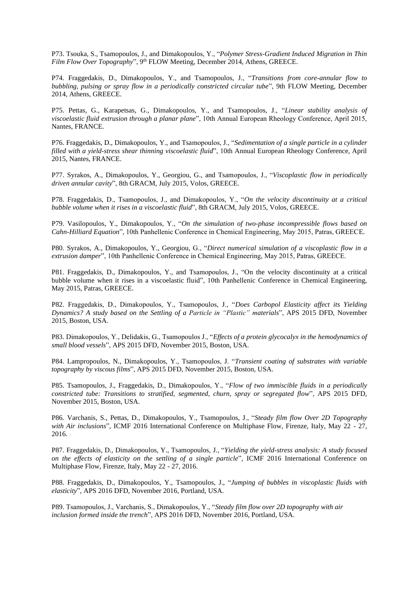P73. Tsouka, S., Tsamopoulos, J., and Dimakopoulos, Y., "*Polymer Stress-Gradient Induced Migration in Thin*  Film Flow Over Topography", 9<sup>th</sup> FLOW Meeting, December 2014, Athens, GREECE.

P74. Fraggedakis, D., Dimakopoulos, Y., and Tsamopoulos, J., "*Transitions from core-annular flow to bubbling, pulsing or spray flow in a periodically constricted circular tube*", 9th FLOW Meeting, December 2014, Athens, GREECE.

P75. Pettas, G., Karapetsas, G., Dimakopoulos, Y., and Tsamopoulos, J., "*Linear stability analysis of viscoelastic fluid extrusion through a planar plane*", 10th Annual European Rheology Conference, April 2015, Nantes, FRANCE.

P76. Fraggedakis, D., Dimakopoulos, Y., and Tsamopoulos, J., "*Sedimentation of a single particle in a cylinder filled with a yield-stress shear thinning viscoelastic fluid*", 10th Annual European Rheology Conference, April 2015, Nantes, FRANCE.

P77. Syrakos, A., Dimakopoulos, Y., Georgiou, G., and Tsamopoulos, J., "*Viscoplastic flow in periodically driven annular cavity*", 8th GRACM, July 2015, Volos, GREECE.

P78. Fraggedakis, D., Tsamopoulos, J., and Dimakopoulos, Y., "*On the velocity discontinuity at a critical bubble volume when it rises in a viscoelastic fluid*", 8th GRACM, July 2015, Volos, GREECE.

P79. Vasilopoulos, Y., Dimakopoulos, Y., "*On the simulation of two-phase incompressible flows based on Cahn-Hilliard Equation*", 10th Panhellenic Conference in Chemical Engineering, May 2015, Patras, GREECE.

P80. Syrakos, A., Dimakopoulos, Y., Georgiou, G., "*Direct numerical simulation of a viscoplastic flow in a extrusion damper*", 10th Panhellenic Conference in Chemical Engineering, May 2015, Patras, GREECE.

P81. Fraggedakis, D., Dimakopoulos, Y., and Tsamopoulos, J., "On the velocity discontinuity at a critical bubble volume when it rises in a viscoelastic fluid", 10th Panhellenic Conference in Chemical Engineering, May 2015, Patras, GREECE.

P82. Fraggedakis, D., Dimakopoulos, Y., Tsamopoulos, J., "*Does Carbopol Elasticity affect its Yielding Dynamics? A study based on the Settling of a Particle in "Plastic" materials*", APS 2015 DFD, November 2015, Boston, USA.

P83. Dimakopoulos, Y., Delidakis, G., Tsamopoulos J., "*Effects of a protein glycocalyx in the hemodynamics of small blood vessels*", APS 2015 DFD, November 2015, Boston, USA.

P84. Lampropoulos, N., Dimakopoulos, Y., Tsamopoulos, J. "*Transient coating of substrates with variable topography by viscous films*", APS 2015 DFD, November 2015, Boston, USA.

P85. Tsamopoulos, J., Fraggedakis, D., Dimakopoulos, Y., "*Flow of two immiscible fluids in a periodically constricted tube: Transitions to stratified, segmented, churn, spray or segregated flow*", APS 2015 DFD, November 2015, Boston, USA.

P86. Varchanis, S., Pettas, D., Dimakopoulos, Y., Tsamopoulos, J., "*Steady film flow Over 2D Topography with Air inclusions*", ICMF 2016 International Conference on Multiphase Flow, Firenze, Italy, May 22 - 27, 2016.

P87. Fraggedakis, D., Dimakopoulos, Y., Tsamopoulos, J., "*Yielding the yield-stress analysis: A study focused on the effects of elasticity on the settling of a single particle*", ICMF 2016 International Conference on Multiphase Flow, Firenze, Italy, May 22 - 27, 2016.

P88. Fraggedakis, D., Dimakopoulos, Y., Tsamopoulos, J., "*Jumping of bubbles in viscoplastic fluids with elasticity*", APS 2016 DFD, November 2016, Portland, USA.

P89. Tsamopoulos, J., Varchanis, S., Dimakopoulos, Y., "*Steady film flow over 2D topography with air inclusion formed inside the trench*", APS 2016 DFD, November 2016, Portland, USA.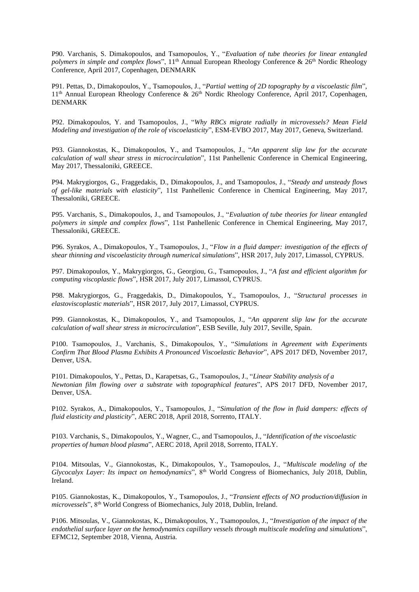P90. Varchanis, S. Dimakopoulos, and Tsamopoulos, Y., "*Evaluation of tube theories for linear entangled polymers in simple and complex flows*", 11<sup>th</sup> Annual European Rheology Conference & 26<sup>th</sup> Nordic Rheology Conference, April 2017, Copenhagen, DENMARK

P91. Pettas, D., Dimakopoulos, Y., Tsamopoulos, J., "*Partial wetting of 2D topography by a viscoelastic film*", 11<sup>th</sup> Annual European Rheology Conference & 26<sup>th</sup> Nordic Rheology Conference, April 2017, Copenhagen, DENMARK

P92. Dimakopoulos, Y. and Tsamopoulos, J., "*Why RBCs migrate radially in microvessels? Mean Field Modeling and investigation of the role of viscoelasticity*", ESM-EVBO 2017, May 2017, Geneva, Switzerland.

P93. Giannokostas, K., Dimakopoulos, Y., and Tsamopoulos, J., "*An apparent slip law for the accurate calculation of wall shear stress in microcirculation*", 11st Panhellenic Conference in Chemical Engineering, May 2017, Thessaloniki, GREECE.

P94. Makrygiorgos, G., Fraggedakis, D., Dimakopoulos, J., and Tsamopoulos, J., "*Steady and unsteady flows of gel-like materials with elasticity*", 11st Panhellenic Conference in Chemical Engineering, May 2017, Thessaloniki, GREECE.

P95. Varchanis, S., Dimakopoulos, J., and Tsamopoulos, J., "*Evaluation of tube theories for linear entangled polymers in simple and complex flows*", 11st Panhellenic Conference in Chemical Engineering, May 2017, Thessaloniki, GREECE.

P96. Syrakos, A., Dimakopoulos, Y., Tsamopoulos, J., "*Flow in a fluid damper: investigation of the effects of shear thinning and viscoelasticity through numerical simulations*", HSR 2017, July 2017, Limassol, CYPRUS.

P97. Dimakopoulos, Y., Makrygiorgos, G., Georgiou, G., Tsamopoulos, J., "*A fast and efficient algorithm for computing viscoplastic flows*", HSR 2017, July 2017, Limassol, CYPRUS.

P98. Makrygiorgos, G., Fraggedakis, D., Dimakopoulos, Y., Tsamopoulos, J., "*Structural processes in elastoviscoplastic materials*", HSR 2017, July 2017, Limassol, CYPRUS.

P99. Giannokostas, K., Dimakopoulos, Y., and Tsamopoulos, J., "*An apparent slip law for the accurate calculation of wall shear stress in microcirculation*", ESB Seville, July 2017, Seville, Spain.

P100. Tsamopoulos, J., Varchanis, S., Dimakopoulos, Y., "*Simulations in Agreement with Experiments Confirm That Blood Plasma Exhibits A Pronounced Viscoelastic Behavior*", APS 2017 DFD, November 2017, Denver, USA.

P101. Dimakopoulos, Y., Pettas, D., Karapetsas, G., Tsamopoulos, J., "*Linear Stability analysis of a Newtonian film flowing over a substrate with topographical features*", APS 2017 DFD, November 2017, Denver, USA.

P102. Syrakos, A., Dimakopoulos, Y., Tsamopoulos, J., "*Simulation of the flow in fluid dampers: effects of fluid elasticity and plasticity*", AERC 2018, April 2018, Sorrento, ITALY.

P103. Varchanis, S., Dimakopoulos, Y., Wagner, C., and Tsamopoulos, J., "*Identification of the viscoelastic properties of human blood plasma*", AERC 2018, April 2018, Sorrento, ITALY.

P104. Mitsoulas, V., Giannokostas, K., Dimakopoulos, Y., Tsamopoulos, J., "*Multiscale modeling of the Glycocalyx Layer: Its impact on hemodynamics*", 8th World Congress of Biomechanics, July 2018, Dublin, Ireland.

P105. Giannokostas, K., Dimakopoulos, Y., Tsamopoulos, J., "*Transient effects of NO production/diffusion in microvessels*", 8th World Congress of Biomechanics, July 2018, Dublin, Ireland.

P106. Mitsoulas, V., Giannokostas, K., Dimakopoulos, Y., Tsamopoulos, J., "*Investigation of the impact of the endothelial surface layer on the hemodynamics capillary vessels through multiscale modeling and simulations*", EFMC12, September 2018, Vienna, Austria.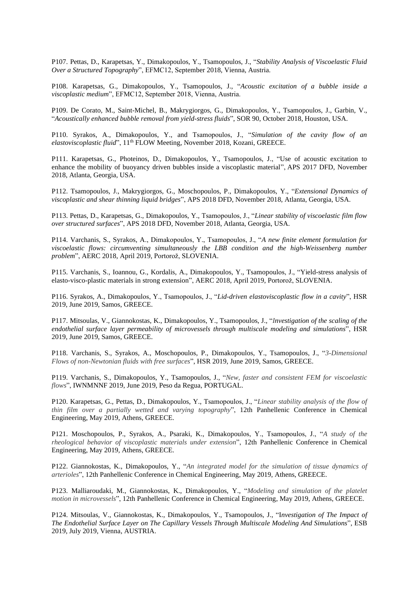P107. Pettas, D., Karapetsas, Y., Dimakopoulos, Y., Tsamopoulos, J., "*Stability Analysis of Viscoelastic Fluid Over a Structured Topography*", EFMC12, September 2018, Vienna, Austria.

P108. Karapetsas, G., Dimakopoulos, Y., Tsamopoulos, J., "*Acoustic excitation of a bubble inside a viscoplastic medium*", EFMC12, September 2018, Vienna, Austria.

P109. De Corato, M., Saint-Michel, B., Makrygiorgos, G., Dimakopoulos, Y., Tsamopoulos, J., Garbin, V., "*Acoustically enhanced bubble removal from yield-stress fluids*", SOR 90, October 2018, Houston, USA.

P110. Syrakos, A., Dimakopoulos, Y., and Tsamopoulos, J., "*Simulation of the cavity flow of an elastoviscoplastic fluid*", 11<sup>th</sup> FLOW Meeting, November 2018, Kozani, GREECE.

P111. Karapetsas, G., Photeinos, D., Dimakopoulos, Y., Tsamopoulos, J., "Use of acoustic excitation to enhance the mobility of buoyancy driven bubbles inside a viscoplastic material", APS 2017 DFD, November 2018, Atlanta, Georgia, USA.

P112. Tsamopoulos, J., Makrygiorgos, G., Moschopoulos, P., Dimakopoulos, Y., "*Extensional Dynamics of viscoplastic and shear thinning liquid bridges*", APS 2018 DFD, November 2018, Atlanta, Georgia, USA.

P113. Pettas, D., Karapetsas, G., Dimakopoulos, Y., Tsamopoulos, J., "*Linear stability of viscoelastic film flow over structured surfaces*", APS 2018 DFD, November 2018, Atlanta, Georgia, USA.

P114. Varchanis, S., Syrakos, A., Dimakopoulos, Y., Tsamopoulos, J., "*A new finite element formulation for viscoelastic flows: circumventing simultaneously the LBB condition and the high-Weissenberg number problem*", AERC 2018, April 2019, Portorož, SLOVENIA.

P115. Varchanis, S., Ioannou, G., Kordalis, A., Dimakopoulos, Y., Tsamopoulos, J., "Yield-stress analysis of elasto-visco-plastic materials in strong extension", AERC 2018, April 2019, Portorož, SLOVENIA.

P116. Syrakos, A., Dimakopoulos, Y., Tsamopoulos, J., "*Lid-driven elastoviscoplastic flow in a cavity*", HSR 2019, June 2019, Samos, GREECE.

P117. Mitsoulas, V., Giannokostas, K., Dimakopoulos, Y., Tsamopoulos, J., "*Investigation of the scaling of the endothelial surface layer permeability of microvessels through multiscale modeling and simulations*", HSR 2019, June 2019, Samos, GREECE.

P118. Varchanis, S., Syrakos, A., Moschopoulos, P., Dimakopoulos, Y., Tsamopoulos, J., "*3-Dimensional Flows of non-Newtonian fluids with free surfaces*", HSR 2019, June 2019, Samos, GREECE.

P119. Varchanis, S., Dimakopoulos, Y., Tsamopoulos, J., "*New, faster and consistent FEM for viscoelastic flows*", IWNMNNF 2019, June 2019, Peso da Regua, PORTUGAL.

P120. Karapetsas, G., Pettas, D., Dimakopoulos, Y., Tsamopoulos, J., "*Linear stability analysis of the flow of thin film over a partially wetted and varying topography*", 12th Panhellenic Conference in Chemical Engineering, May 2019, Athens, GREECE.

P121. Moschopoulos, P., Syrakos, A., Psaraki, K., Dimakopoulos, Y., Tsamopoulos, J., "*A study of the rheological behavior of viscoplastic materials under extension*", 12th Panhellenic Conference in Chemical Engineering, May 2019, Athens, GREECE.

P122. Giannokostas, K., Dimakopoulos, Y., "*An integrated model for the simulation of tissue dynamics of arterioles*", 12th Panhellenic Conference in Chemical Engineering, May 2019, Athens, GREECE.

P123. Malliaroudaki, M., Giannokostas, K., Dimakopoulos, Y., "*Modeling and simulation of the platelet motion in microvessels*", 12th Panhellenic Conference in Chemical Engineering, May 2019, Athens, GREECE.

P124. Mitsoulas, V., Giannokostas, K., Dimakopoulos, Y., Tsamopoulos, J., "I*nvestigation of The Impact of The Endothelial Surface Layer on The Capillary Vessels Through Multiscale Modeling And Simulations*", ESB 2019, July 2019, Vienna, AUSTRIA.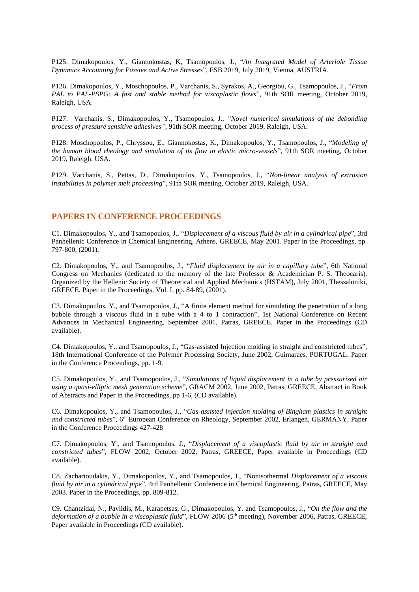P125. Dimakopoulos, Y., Giannokostas, K, Tsamopoulos, J., "*An Integrated Model of Arteriole Tissue Dynamics Accounting for Passive and Active Stresses*", ESB 2019, July 2019, Vienna, AUSTRIA.

P126. Dimakopoulos, Y., Moschopoulos, P., Varchanis, S., Syrakos, A., Georgiou, G., Tsamopoulos, J., "*From PAL to PAL-PSPG: A fast and stable method for viscoplastic flows*", 91th SOR meeting, October 2019, Raleigh, USA.

P127. Varchanis, S., Dimakopoulos, Y., Tsamopoulos, J., *"Novel numerical simulations of the debonding process of pressure sensitive adhesives",* 91th SOR meeting, October 2019, Raleigh, USA.

P128. Moschopoulos, P., Chryssou, E., Giannokostas, K., Dimakopoulos, Y., Tsamopoulos, J., "*Modeling of the human blood rheology and simulation of its flow in elastic micro-vessels*", 91th SOR meeting, October 2019, Raleigh, USA.

P129. Varchanis, S., Pettas, D., Dimakopoulos, Y., Tsamopoulos, J., "*Non-linear analysis of extrusion instabilities in polymer melt processing*", 91th SOR meeting, October 2019, Raleigh, USA.

### **PAPERS IN CONFERENCE PROCEEDINGS**

C1. Dimakopoulos, Y., and Tsamopoulos, J., "*Displacement of a viscous fluid by air in a cylindrical pipe*", 3rd Panhellenic Conference in Chemical Engineering, Athens, GREECE, May 2001. Paper in the Proceedings, pp. 797-800, (2001).

C2. Dimakopoulos, Y., and Tsamopoulos, J., "*Fluid displacement by air in a capillary tube*", 6th National Congress on Mechanics (dedicated to the memory of the late Professor & Academician P. S. Theocaris). Organized by the Hellenic Society of Theoretical and Applied Mechanics (HSTAM), July 2001, Thessaloniki, GREECE. Paper in the Proceedings, Vol. I, pp. 84-89, (2001).

C3. Dimakopoulos, Y., and Tsamopoulos, J., "A finite element method for simulating the penetration of a long bubble through a viscous fluid in a tube with a 4 to 1 contraction", 1st National Conference on Recent Advances in Mechanical Engineering, September 2001, Patras, GREECE. Paper in the Proceedings (CD available).

C4. Dimakopoulos, Y., and Tsamopoulos, J., "Gas-assisted Injection molding in straight and constricted tubes", 18th International Conference of the Polymer Processing Society, June 2002, Guimaraes, PORTUGAL. Paper in the Conference Proceedings, pp. 1-9.

C5. Dimakopoulos, Y., and Tsamopoulos, J., "*Simulations of liquid displacement in a tube by pressurized air using a quasi-elliptic mesh generation scheme*", GRACM 2002, June 2002, Patras, GREECE, Abstract in Book of Abstracts and Paper in the Proceedings, pp 1-6, (CD available).

C6. Dimakopoulos, Y., and Tsamopoulos, J., "*Gas-assisted injection molding of Bingham plastics in straight*  and constricted tubes", 6<sup>th</sup> European Conference on Rheology, September 2002, Erlangen, GERMANY, Paper in the Conference Proceedings 427-428

C7. Dimakopoulos, Y., and Tsamopoulos, J., "*Displacement of a viscoplastic fluid by air in straight and constricted tubes*", FLOW 2002, October 2002, Patras, GREECE, Paper available in Proceedings (CD available).

C8. Zacharioudakis, Y., Dimakopoulos, Y., and Tsamopoulos, J., "Nonisothermal *Displacement of a viscous fluid by air in a cylindrical pipe*", 4rd Panhellenic Conference in Chemical Engineering, Patras, GREECE, May 2003. Paper in the Proceedings, pp. 809-812.

C9. Chantzidai, N., Pavlidis, M., Karapetsas, G., Dimakopoulos, Y. and Tsamopoulos, J., "*On the flow and the*  deformation of a bubble in a viscoplastic fluid", FLOW 2006 (5<sup>th</sup> meeting), November 2006, Patras, GREECE, Paper available in Proceedings (CD available).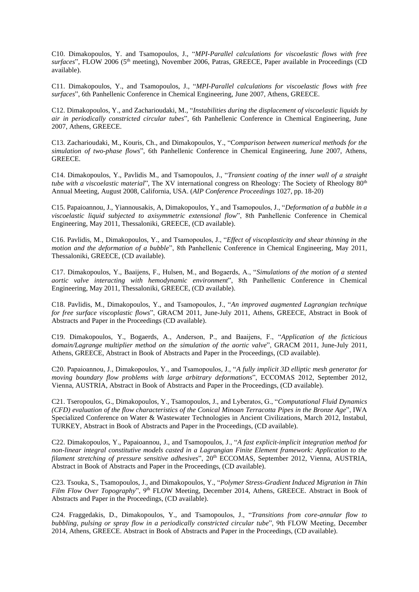C10. Dimakopoulos, Y. and Tsamopoulos, J., "*MPI-Parallel calculations for viscoelastic flows with free surfaces*", FLOW 2006 (5th meeting), November 2006, Patras, GREECE, Paper available in Proceedings (CD available).

C11. Dimakopoulos, Y., and Tsamopoulos, J., "*MPI-Parallel calculations for viscoelastic flows with free surfaces*", 6th Panhellenic Conference in Chemical Engineering, June 2007, Athens, GREECE.

C12. Dimakopoulos, Y., and Zacharioudaki, M., "*Instabilities during the displacement of viscoelastic liquids by air in periodically constricted circular tubes*", 6th Panhellenic Conference in Chemical Engineering, June 2007, Athens, GREECE.

C13. Zacharioudaki, M., Kouris, Ch., and Dimakopoulos, Y., "C*omparison between numerical methods for the simulation of two-phase flows*", 6th Panhellenic Conference in Chemical Engineering, June 2007, Athens, GREECE.

C14. Dimakopoulos, Y., Pavlidis M., and Tsamopoulos, J., "*[Transient](http://ecce6.kt.dtu.dk/cm/content/abstract/3146/) coating of the inner wall of a straight tube* with a viscoelastic material", The XV international congress on Rheology: The Society of Rheology 80<sup>th</sup> Annual Meeting, August 2008, California, USA. (*AIP Conference Proceedings* 1027, pp. 18-20)

C15. Papaioannou, J., Yiannousakis, A, Dimakopoulos, Y., and Tsamopoulos, J., "*Deformation of a bubble in a viscoelastic liquid subjected to axisymmetric extensional flow*", 8th Panhellenic Conference in Chemical Engineering, May 2011, Thessaloniki, GREECE, (CD available).

C16. Pavlidis, M., Dimakopoulos, Y., and Tsamopoulos, J., "*Effect of viscoplasticity and shear thinning in the motion and the deformation of a bubble*", 8th Panhellenic Conference in Chemical Engineering, May 2011, Thessaloniki, GREECE, (CD available).

C17. Dimakopoulos, Y., Baaijens, F., Hulsen, M., and Bogaerds, A., "*Simulations of the motion of a stented aortic valve interacting with hemodynamic environment*", 8th Panhellenic Conference in Chemical Engineering, May 2011, Thessaloniki, GREECE, (CD available).

C18. Pavlidis, M., Dimakopoulos, Y., and Tsamopoulos, J., "*An improved augmented Lagrangian technique for free surface viscoplastic flows*", GRACM 2011, June-July 2011, Athens, GREECE, Abstract in Book of Abstracts and Paper in the Proceedings (CD available).

C19. Dimakopoulos, Y., Bogaerds, A., Anderson, P., and Baaijens, F., "*Application of the ficticious domain/Lagrange multiplier method on the simulation of the aortic valve*", GRACM 2011, June-July 2011, Athens, GREECE, Abstract in Book of Abstracts and Paper in the Proceedings, (CD available).

C20. Papaioannou, J., Dimakopoulos, Y., and Tsamopoulos, J., "*A fully implicit 3D elliptic mesh generator for moving boundary flow problems with large arbitrary deformations*", ECCOMAS 2012, September 2012, Vienna, AUSTRIA, Abstract in Book of Abstracts and Paper in the Proceedings, (CD available).

C21. Tseropoulos, G., Dimakopoulos, Y., Tsamopoulos, J., and Lyberatos, G., "*Computational Fluid Dynamics (CFD) evaluation of the flow characteristics of the Conical Minoan Terracotta Pipes in the Bronze Age*", IWA Specialized Conference on Water & Wastewater Technologies in Ancient Civilizations, March 2012, Instabul, TURKEY, Abstract in Book of Abstracts and Paper in the Proceedings, (CD available).

C22. Dimakopoulos, Y., Papaioannou, J., and Tsamopoulos, J., "*A fast explicit-implicit integration method for non-linear integral constitutive models casted in a Lagrangian Finite Element framework: Application to the filament stretching of pressure sensitive adhesives*", 20th ECCOMAS, September 2012, Vienna, AUSTRIA, Abstract in Book of Abstracts and Paper in the Proceedings, (CD available).

C23. Tsouka, S., Tsamopoulos, J., and Dimakopoulos, Y., "*Polymer Stress-Gradient Induced Migration in Thin*  Film Flow Over Topography", 9<sup>th</sup> FLOW Meeting, December 2014, Athens, GREECE. Abstract in Book of Abstracts and Paper in the Proceedings, (CD available).

C24. Fraggedakis, D., Dimakopoulos, Y., and Tsamopoulos, J., "*Transitions from core-annular flow to bubbling, pulsing or spray flow in a periodically constricted circular tube*", 9th FLOW Meeting, December 2014, Athens, GREECE. Abstract in Book of Abstracts and Paper in the Proceedings, (CD available).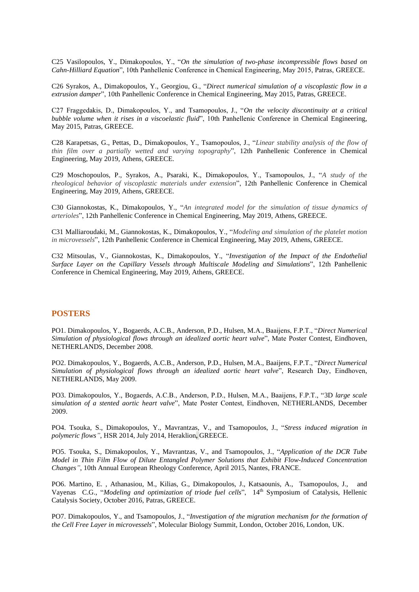C25 Vasilopoulos, Y., Dimakopoulos, Y., "*On the simulation of two-phase incompressible flows based on Cahn-Hilliard Equation*", 10th Panhellenic Conference in Chemical Engineering, May 2015, Patras, GREECE.

C26 Syrakos, A., Dimakopoulos, Y., Georgiou, G., "*Direct numerical simulation of a viscoplastic flow in a extrusion damper*", 10th Panhellenic Conference in Chemical Engineering, May 2015, Patras, GREECE.

C27 Fraggedakis, D., Dimakopoulos, Y., and Tsamopoulos, J., "*On the velocity discontinuity at a critical bubble volume when it rises in a viscoelastic fluid*", 10th Panhellenic Conference in Chemical Engineering, May 2015, Patras, GREECE.

C28 Karapetsas, G., Pettas, D., Dimakopoulos, Y., Tsamopoulos, J., "*Linear stability analysis of the flow of thin film over a partially wetted and varying topography*", 12th Panhellenic Conference in Chemical Engineering, May 2019, Athens, GREECE.

C29 Moschopoulos, P., Syrakos, A., Psaraki, K., Dimakopoulos, Y., Tsamopoulos, J., "*A study of the rheological behavior of viscoplastic materials under extension*", 12th Panhellenic Conference in Chemical Engineering, May 2019, Athens, GREECE.

C30 Giannokostas, K., Dimakopoulos, Y., "*An integrated model for the simulation of tissue dynamics of arterioles*", 12th Panhellenic Conference in Chemical Engineering, May 2019, Athens, GREECE.

C31 Malliaroudaki, M., Giannokostas, K., Dimakopoulos, Y., "*Modeling and simulation of the platelet motion in microvessels*", 12th Panhellenic Conference in Chemical Engineering, May 2019, Athens, GREECE.

C32 Mitsoulas, V., Giannokostas, K., Dimakopoulos, Y., "*Investigation of the Impact of the Endothelial Surface Layer on the Capillary Vessels through Multiscale Modeling and Simulations*", 12th Panhellenic Conference in Chemical Engineering, May 2019, Athens, GREECE.

### **POSTERS**

PO1. Dimakopoulos, Y., Bogaerds, A.C.B., Anderson, P.D., Hulsen, M.A., Baaijens, F.P.T., "*Direct Numerical Simulation of physiological flows through an idealized aortic heart valve*", Mate Poster Contest, Eindhoven, NETHERLANDS, December 2008.

PO2. Dimakopoulos, Y., Bogaerds, A.C.B., Anderson, P.D., Hulsen, M.A., Baaijens, F.P.T., "*Direct Numerical Simulation of physiological flows through an idealized aortic heart valve*", Research Day, Eindhoven, NETHERLANDS, May 2009.

PO3. Dimakopoulos, Y., Bogaerds, A.C.B., Anderson, P.D., Hulsen, M.A., Baaijens, F.P.T., "3D *large scale simulation of a stented aortic heart valve*", Mate Poster Contest, Eindhoven, NETHERLANDS, December 2009.

PO4. Tsouka, S., Dimakopoulos, Y., Mavrantzas, V., and Tsamopoulos, J., "*Stress induced migration in polymeric flows"*, HSR 2014, July 2014, Heraklion**,** GREECE.

PO5. Tsouka, S., Dimakopoulos, Y., Mavrantzas, V., and Tsamopoulos, J., "*Application of the DCR Tube Model in Thin Film Flow of Dilute Entangled Polymer Solutions that Exhibit Flow-Induced Concentration Changes"*, 10th Annual European Rheology Conference, April 2015, Nantes, FRANCE.

PO6. Martino, E. , Athanasiou, M., Kilias, G., Dimakopoulos, J., Katsaounis, A., Tsamopoulos, J., and Vayenas C.G., "*Modeling and optimization of triode fuel cells*", 14th Symposium of Catalysis, Hellenic Catalysis Society, October 2016, Patras, GREECE.

PO7. Dimakopoulos, Y., and Tsamopoulos, J., "*Investigation of the migration mechanism for the formation of the Cell Free Layer in microvessels*", Molecular Biology Summit, London, October 2016, London, UK.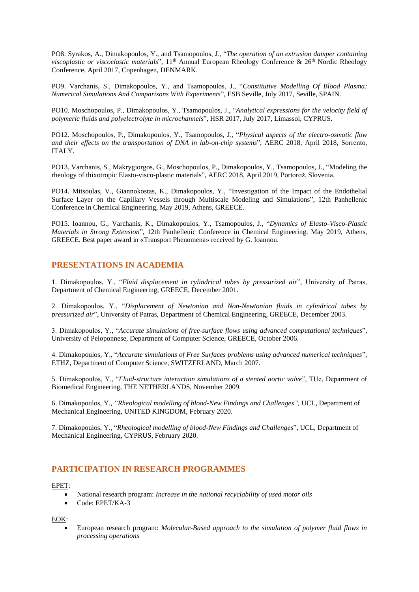PO8. Syrakos, A., Dimakopoulos, Y., and Tsamopoulos, J., "*The operation of an extrusion damper containing viscoplastic or viscoelastic materials*", 11<sup>th</sup> Annual European Rheology Conference & 26<sup>th</sup> Nordic Rheology Conference, April 2017, Copenhagen, DENMARK.

PO9. Varchanis, S., Dimakopoulos, Y., and Tsamopoulos, J., "*Constitutive Modelling Of Blood Plasma: Numerical Simulations And Comparisons With Experiments*", ESB Seville, July 2017, Seville, SPAIN.

PO10. Moschopoulos, P., Dimakopoulos, Y., Tsamopoulos, J., "*Analytical expressions for the velocity field of polymeric fluids and polyelectrolyte in microchannels*", HSR 2017, July 2017, Limassol, CYPRUS.

PO12. Moschopoulos, P., Dimakopoulos, Y., Tsamopoulos, J., "*Physical aspects of the electro-osmotic flow and their effects on the transportation of DNA in lab-on-chip systems*", AERC 2018, April 2018, Sorrento, ITALY.

PO13. Varchanis, S., Makrygiorgos, G., Moschopoulos, P., Dimakopoulos, Y., Tsamopoulos, J., "Modeling the rheology of thixotropic Elasto-visco-plastic materials", AERC 2018, April 2019, Portorož, Slovenia.

PO14. Mitsoulas, V., Giannokostas, K., Dimakopoulos, Y., "Investigation of the Impact of the Endothelial Surface Layer on the Capillary Vessels through Multiscale Modeling and Simulations", 12th Panhellenic Conference in Chemical Engineering, May 2019, Athens, GREECE.

PO15. Ioannou, G., Varchanis, K., Dimakopoulos, Y., Tsamopoulos, J., "*Dynamics of Elasto-Visco-Plastic Materials in Strong Extension*", 12th Panhellenic Conference in Chemical Engineering, May 2019, Athens, GREECE. Best paper award in «Transport Phenomena» received by G. Ioannou.

## **PRESENTATIONS IN ACADEMIA**

1. Dimakopoulos, Y., "*Fluid displacement in cylindrical tubes by pressurized air*", University of Patras, Department of Chemical Engineering, GREECE, December 2001.

2. Dimakopoulos, Y., "*Displacement of Newtonian and Non-Newtonian fluids in cylindrical tubes by pressurized air*", University of Patras, Department of Chemical Engineering, GREECE, December 2003.

3. Dimakopoulos, Y., "*Accurate simulations of free-surface flows using advanced computational techniques*", University of Peloponnese, Department of Computer Science, GREECE, October 2006.

4. Dimakopoulos, Y., "*Accurate simulations of Free Surfaces problems using advanced numerical techniques*"*,* ETHZ, Department of Computer Science, SWITZERLAND, March 2007*.*

5. Dimakopoulos, Y., "*Fluid-structure interaction simulations of a stented aortic valve*", TUe, Department of Biomedical Engineering, THE NETHERLANDS, November 2009.

6. Dimakopoulos, Y., *"Rheological modelling of blood-New Findings and Challenges",* UCL, Department of Mechanical Engineering, UNITED KINGDOM, February 2020.

7. Dimakopoulos, Y., "*Rheological modelling of blood-New Findings and Challenges*", UCL, Department of Mechanical Engineering, CYPRUS, February 2020.

### **PARTICIPATION IN RESEARCH PROGRAMMES**

#### EPET:

- National research program: *Increase in the national recyclability of used motor oils*
- Code: EPET/KA-3

EOK:

• European research program: *Molecular-Based approach to the simulation of polymer fluid flows in processing operations*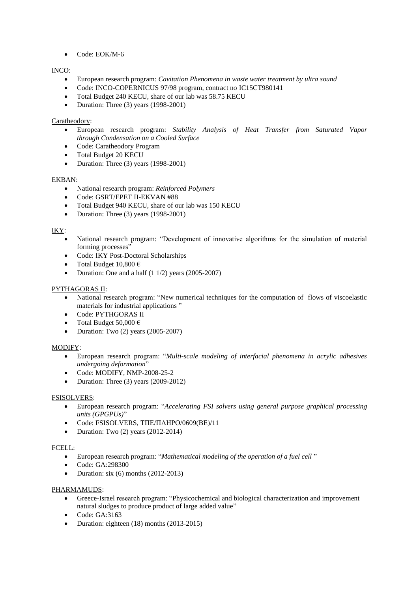• Code: ΕΟΚ/Μ-6

### INCO:

- European research program: *Cavitation Phenomena in waste water treatment by ultra sound*
- Code: INCO-COPERNICUS 97/98 program, contract no IC15CT980141
- Total Budget 240 KECU, share of our lab was 58.75 KECU
- Duration: Three (3) years (1998-2001)

### Caratheodory:

- European research program: *Stability Analysis of Heat Transfer from Saturated Vapor through Condensation on a Cooled Surface*
- Code: Caratheodory Program
- Total Budget 20 KECU
- Duration: Three (3) years (1998-2001)

### EKBAN:

- National research program: *Reinforced Polymers*
- Code: GSRT/EPET II-EKVAN #88
- Total Budget 940 KECU, share of our lab was 150 KECU
- Duration: Three (3) years (1998-2001)

### IKY:

- National research program: "Development of innovative algorithms for the simulation of material forming processes"
- Code: IKY Post-Doctoral Scholarships
- Total Budget  $10,800 \in$
- Duration: One and a half (1 1/2) years (2005-2007)

### PYTHAGORAS II:

- National research program: "New numerical techniques for the computation of flows of viscoelastic materials for industrial applications "
- Code: PYTHGORAS II
- Total Budget 50,000  $\in$
- Duration: Two (2) years (2005-2007)

#### MODIFY:

- European research program: "*Multi-scale modeling of interfacial phenomena in acrylic adhesives undergoing deformation*"
- Code: MODIFY, NMP-2008-25-2
- Duration: Three (3) years (2009-2012)

#### FSISOLVERS:

- European research program: "*Accelerating FSI solvers using general purpose graphical processing units (GPGPUs)*"
- Code: FSISOLVERS, ΤΠΕ/ΠΛΗΡΟ/0609(ΒΕ)/11
- Duration: Two (2) years (2012-2014)

#### FCELL:

- European research program: "*Mathematical modeling of the operation of a fuel cell* "
- Code: GA:298300
- Duration: six  $(6)$  months  $(2012-2013)$

#### PHARMAMUDS:

- Greece-Israel research program: "Physicochemical and biological characterization and improvement natural sludges to produce product of large added value"
- Code: GA:3163
- Duration: eighteen (18) months (2013-2015)